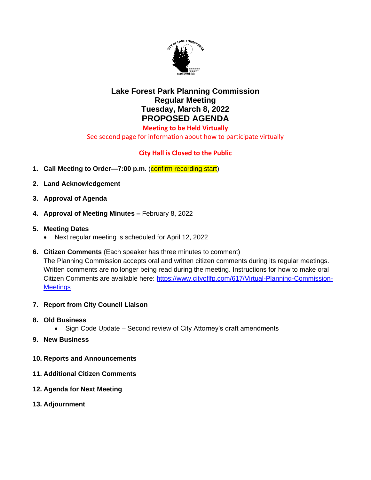

# **Lake Forest Park Planning Commission Regular Meeting Tuesday, March 8, 2022 PROPOSED AGENDA**

**Meeting to be Held Virtually**

See second page for information about how to participate virtually

# **City Hall is Closed to the Public**

- **1. Call Meeting to Order—7:00 p.m.** (confirm recording start)
- **2. Land Acknowledgement**
- **3. Approval of Agenda**
- **4. Approval of Meeting Minutes –** February 8, 2022
- **5. Meeting Dates**
	- Next regular meeting is scheduled for April 12, 2022
- **6. Citizen Comments** (Each speaker has three minutes to comment) The Planning Commission accepts oral and written citizen comments during its regular meetings. Written comments are no longer being read during the meeting. Instructions for how to make oral Citizen Comments are available here: [https://www.cityoflfp.com/617/Virtual-Planning-Commission-](https://www.cityoflfp.com/617/Virtual-Planning-Commission-Meetings)**[Meetings](https://www.cityoflfp.com/617/Virtual-Planning-Commission-Meetings)**
- **7. Report from City Council Liaison**
- **8. Old Business**
	- Sign Code Update Second review of City Attorney's draft amendments
- **9. New Business**
- **10. Reports and Announcements**
- **11. Additional Citizen Comments**
- **12. Agenda for Next Meeting**
- **13. Adjournment**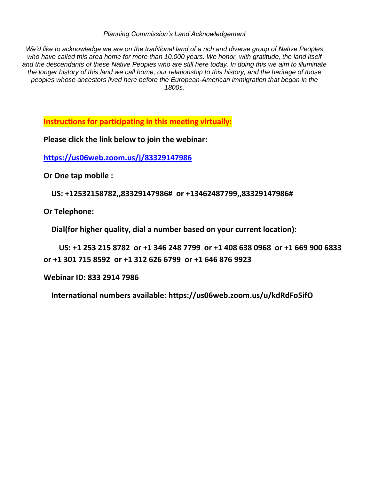### *Planning Commission's Land Acknowledgement*

*We'd like to acknowledge we are on the traditional land of a rich and diverse group of Native Peoples who have called this area home for more than 10,000 years. We honor, with gratitude, the land itself and the descendants of these Native Peoples who are still here today. In doing this we aim to illuminate the longer history of this land we call home, our relationship to this history, and the heritage of those peoples whose ancestors lived here before the European-American immigration that began in the 1800s.*

**Instructions for participating in this meeting virtually:**

**Please click the link below to join the webinar:**

**<https://us06web.zoom.us/j/83329147986>**

**Or One tap mobile :** 

 **US: +12532158782,,83329147986# or +13462487799,,83329147986#** 

**Or Telephone:**

 **Dial(for higher quality, dial a number based on your current location):**

 **US: +1 253 215 8782 or +1 346 248 7799 or +1 408 638 0968 or +1 669 900 6833 or +1 301 715 8592 or +1 312 626 6799 or +1 646 876 9923** 

**Webinar ID: 833 2914 7986**

 **International numbers available: https://us06web.zoom.us/u/kdRdFo5ifO**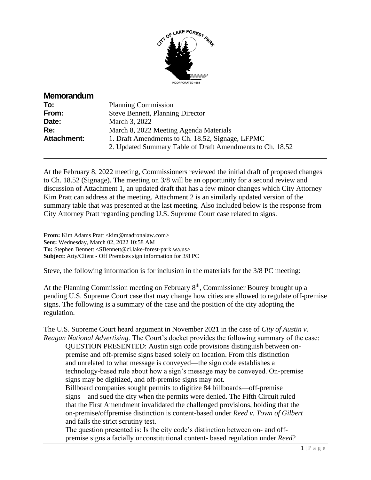

### **Memorandum**

| To:                | <b>Planning Commission</b>                                |
|--------------------|-----------------------------------------------------------|
| From:              | <b>Steve Bennett, Planning Director</b>                   |
| Date:              | March 3, 2022                                             |
| Re:                | March 8, 2022 Meeting Agenda Materials                    |
| <b>Attachment:</b> | 1. Draft Amendments to Ch. 18.52, Signage, LFPMC          |
|                    | 2. Updated Summary Table of Draft Amendments to Ch. 18.52 |

At the February 8, 2022 meeting, Commissioners reviewed the initial draft of proposed changes to Ch. 18.52 (Signage). The meeting on 3/8 will be an opportunity for a second review and discussion of Attachment 1, an updated draft that has a few minor changes which City Attorney Kim Pratt can address at the meeting. Attachment 2 is an similarly updated version of the summary table that was presented at the last meeting. Also included below is the response from City Attorney Pratt regarding pending U.S. Supreme Court case related to signs.

**From:** Kim Adams Pratt <kim@madronalaw.com> **Sent:** Wednesday, March 02, 2022 10:58 AM **To:** Stephen Bennett <SBennett@ci.lake-forest-park.wa.us> **Subject:** Atty/Client - Off Premises sign information for 3/8 PC

Steve, the following information is for inclusion in the materials for the 3/8 PC meeting:

At the Planning Commission meeting on February 8<sup>th</sup>, Commissioner Bourey brought up a pending U.S. Supreme Court case that may change how cities are allowed to regulate off-premise signs. The following is a summary of the case and the position of the city adopting the regulation.

The U.S. Supreme Court heard argument in November 2021 in the case of *City of Austin v. Reagan National Advertising*. The Court's docket provides the following summary of the case:

QUESTION PRESENTED: Austin sign code provisions distinguish between onpremise and off-premise signs based solely on location. From this distinction and unrelated to what message is conveyed—the sign code establishes a technology-based rule about how a sign's message may be conveyed. On-premise signs may be digitized, and off-premise signs may not.

Billboard companies sought permits to digitize 84 billboards—off-premise signs—and sued the city when the permits were denied. The Fifth Circuit ruled that the First Amendment invalidated the challenged provisions, holding that the on-premise/offpremise distinction is content-based under *Reed v. Town of Gilbert* and fails the strict scrutiny test.

The question presented is: Is the city code's distinction between on- and offpremise signs a facially unconstitutional content- based regulation under *Reed*?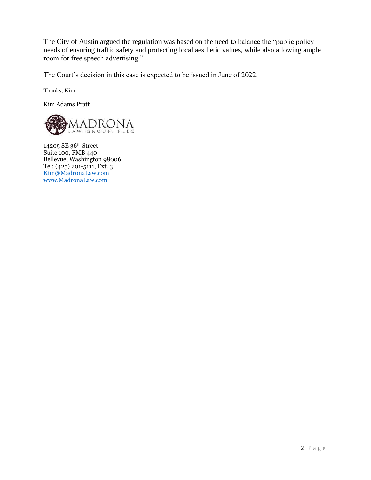The City of Austin argued the regulation was based on the need to balance the "public policy needs of ensuring traffic safety and protecting local aesthetic values, while also allowing ample room for free speech advertising."

The Court's decision in this case is expected to be issued in June of 2022.

Thanks, Kimi

Kim Adams Pratt



14205 SE 36th Street Suite 100, PMB 440 Bellevue, Washington 98006 Tel: (425) 201-5111, Ext. 3 [Kim@MadronaLaw.com](mailto:Kim@MadronaLaw.com) [www.MadronaLaw.com](http://www.madronalaw.com/)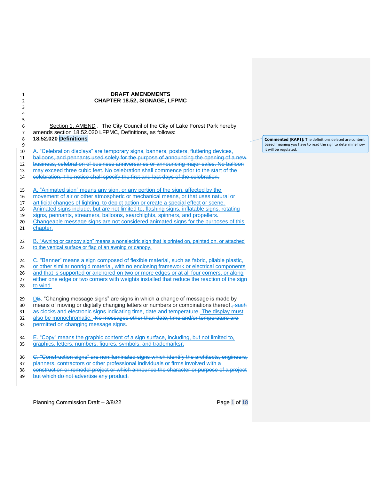### 1 **DRAFT AMENDMENTS**<br>2 **CHAPTER 18.52, SIGNAGE, LI** 2 **CHAPTER 18.52, SIGNAGE, LFPMC**

| 3              |                                                                                                 |       |
|----------------|-------------------------------------------------------------------------------------------------|-------|
| 4              |                                                                                                 |       |
| 5              |                                                                                                 |       |
| 6              | Section 1. AMEND. The City Council of the City of Lake Forest Park hereby                       |       |
| $\overline{7}$ | amends section 18.52.020 LFPMC, Definitions, as follows:                                        |       |
| 8              | 18.52.020 Definitions                                                                           | Con   |
| 9              |                                                                                                 | base  |
| 10             | A. "Celebration displays" are temporary signs, banners, posters, fluttering devices,            | it wi |
| 11             | balloons, and pennants used solely for the purpose of announcing the opening of a new           |       |
| 12             | business, celebration of business anniversaries or announcing major sales. No balloon           |       |
| 13             | may exceed three cubic feet. No celebration shall commence prior to the start of the            |       |
| 14             | celebration. The notice shall specify the first and last days of the celebration.               |       |
|                |                                                                                                 |       |
| 15             | A. "Animated sign" means any sign, or any portion of the sign, affected by the                  |       |
| 16             | movement of air or other atmospheric or mechanical means, or that uses natural or               |       |
| 17             | artificial changes of lighting, to depict action or create a special effect or scene.           |       |
| 18             | Animated signs include, but are not limited to, flashing signs, inflatable signs, rotating      |       |
| 19             | signs, pennants, streamers, balloons, searchlights, spinners, and propellers.                   |       |
| 20             | Changeable message signs are not considered animated signs for the purposes of this             |       |
| 21             | chapter.                                                                                        |       |
|                |                                                                                                 |       |
| 22             | B. "Awning or canopy sign" means a nonelectric sign that is printed on, painted on, or attached |       |
| 23             | to the vertical surface or flap of an awning or canopy.                                         |       |
|                |                                                                                                 |       |
| 24             | C. "Banner" means a sign composed of flexible material, such as fabric, pliable plastic,        |       |
| 25             | or other similar nonrigid material, with no enclosing framework or electrical components        |       |
| 26             | and that is supported or anchored on two or more edges or at all four corners, or along         |       |
| 27             | either one edge or two corners with weights installed that reduce the reaction of the sign      |       |
| 28             | to wind.                                                                                        |       |
|                |                                                                                                 |       |
| 29             | DB. "Changing message signs" are signs in which a change of message is made by                  |       |
| 30             | means of moving or digitally changing letters or numbers or combinations thereof., such         |       |
| 31             | as clocks and electronic signs indicating time, date and temperature. The display must          |       |
| 32             | also be monochromatic. Ale messages other than date, time and/or temperature are                |       |
| 33             | permitted on changing message signs.                                                            |       |
|                |                                                                                                 |       |
| 34             | E. "Copy" means the graphic content of a sign surface, including, but not limited to,           |       |
| 35             | graphics, letters, numbers, figures, symbols, and trademarksr.                                  |       |
|                |                                                                                                 |       |
| 36             | C. "Construction signs" are nonilluminated signs which identify the architects, engineers,      |       |
| 37             | planners, contractors or other professional individuals or firms involved with a                |       |
| 38             | construction or remodel project or which announce the character or purpose of a project         |       |
| 39             | but which do not advertise any product.                                                         |       |

**Commented [KAP1]:** The definitions deleted are content based meaning you have to read the sign to determine how it will be regulated.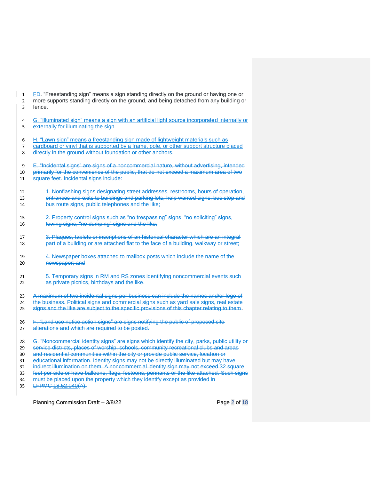FD. "Freestanding sign" means a sign standing directly on the ground or having one or 2 more supports standing directly on the ground, and being detached from any building or fence.

- G. "Illuminated sign" means a sign with an artificial light source incorporated internally or externally for illuminating the sign.
- 6 H. "Lawn sign" means a freestanding sign made of lightweight materials such as
- 7 cardboard or vinyl that is supported by a frame, pole, or other support structure placed directly in the ground without foundation or other anchors.
- E. "Incidental signs" are signs of a noncommercial nature, without advertising, intended primarily for the convenience of the public, that do not exceed a maximum area of two square feet. Incidental signs include:
- 12 1. Nonflashing signs designating street addresses, restrooms, hours of operation, entrances and exits to buildings and parking lots, help wanted signs, bus stop and bus route signs, public telephones and the like;
- 2. Property control signs such as "no trespassing" signs, "no soliciting" signs, towing signs, "no dumping" signs and the like;
- 17 3. Plaques, tablets or inscriptions of an historical character which are an integral 18 part of a building or are attached flat to the face of a building, walkway or street;
- 4. Newspaper boxes attached to mailbox posts which include the name of the newspaper; and
- 21 5. Temporary signs in RM and RS zones identifying noncommercial events such as private picnics, birthdays and the like.
- 23 A maximum of two incidental signs per business can include the names and/or logo of the business. Political signs and commercial signs such as yard sale signs, real estate 25 signs and the like are subject to the specific provisions of this chapter relating to them.
- 26 F. "Land use notice action signs" are signs notifying the public of proposed site 27 alterations and which are required to be posted.
- 28 G. "Noncommercial identity signs" are signs which identify the city, parks, public utility or
- service districts, places of worship, schools, community recreational clubs and areas and residential communities within the city or provide public service, location or
- educational information. Identity signs may not be directly illuminated but may have
- 
- indirect illumination on them. A noncommercial identity sign may not exceed 32 square feet per side or have balloons, flags, festoons, pennants or the like attached. Such signs
- 34 must be placed upon the property which they identify except as provided in
- LFPMC 18.52.040(A).

Planning Commission Draft – 3/8/22 Page 2 of 18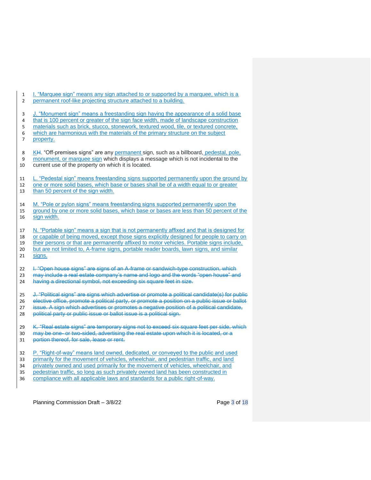1 I. "Marquee sign" means any sign attached to or supported by a marquee, which is a 2 permanent roof-like projecting structure attached to a building. 3 J. "Monument sign" means a freestanding sign having the appearance of a solid base that is 100 percent or greater of the sign face width, made of landscape construction<br>
that is 100 percent or greater of the sign face width, made of landscape construction<br>
the concrete. materials such as brick, stucco, stonework, textured wood, tile, or textured concrete, 6 which are harmonious with the materials of the primary structure on the subject 7 property. 8 KH. "Off-premises signs" are any permanent sign, such as a billboard, pedestal, pole, 9 monument, or marquee sign which displays a message which is not incidental to the 10 current use of the property on which it is located. 11 L. "Pedestal sign" means freestanding signs supported permanently upon the ground by 12 one or more solid bases, which base or bases shall be of a width equal to or greater 13 than 50 percent of the sign width. 14 M. "Pole or pylon signs" means freestanding signs supported permanently upon the 15 ground by one or more solid bases, which base or bases are less than 50 percent of the sign width. 17 N. "Portable sign" means a sign that is not permanently affixed and that is designed for 18 or capable of being moved, except those signs explicitly designed for people to carry on 19 their persons or that are permanently affixed to motor vehicles. Portable signs include, 20 but are not limited to, A-frame signs, portable reader boards, lawn signs, and similar 21 signs. 22 I. "Open house signs" are signs of an A-frame or sandwich-type construction, which 23 may include a real estate company's name and logo and the words "open house" and 24 having a directional symbol, not exceeding six square feet in size. 25 J. "Political signs" are signs which advertise or promote a political candidate(s) for public 26 elective office, promote a political party, or promote a position on a public issue or ballot 27 issue. A sign which advertises or promotes a negative position of a political candidate, 28 political party or public issue or ballot issue is a political sign. 29 K. "Real estate signs" are temporary signs not to exceed six square feet per side, which 30 may be one- or two-sided, advertising the real estate upon which it is located, or a<br>31 pertien thereof, for sale, lease or rent. portion thereof, for sale, lease or rent. 32 P. "Right-of-way" means land owned, dedicated, or conveyed to the public and used 33 primarily for the movement of vehicles, wheelchair, and pedestrian traffic, and land 34 privately owned and used primarily for the movement of vehicles, wheelchair, and 35 pedestrian traffic, so long as such privately owned land has been constructed in<br>36 compliance with all applicable laws and standards for a public right-of-way. compliance with all applicable laws and standards for a public right-of-way.

Planning Commission Draft – 3/8/22 Page 3 of 18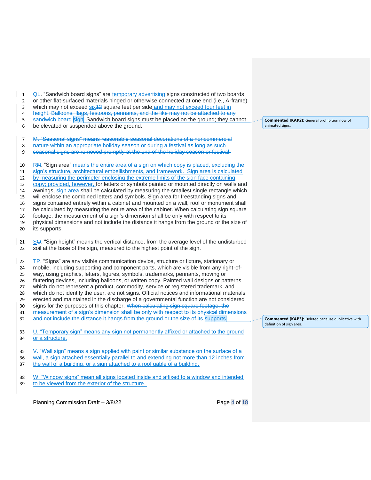- $\frac{1}{2}$  QL. "Sandwich board signs" are temporary advertising signs constructed of two boards
	- or other flat-surfaced materials hinged or otherwise connected at one end (i.e., A-frame)
	- 3 which may not exceed six<sup>12</sup> square feet per side and may not exceed four feet in
	- 1 height. Balloons, flags, festoons, pennants, and the like may not be attached to any<br>5 sandwich board sign. Sandwich board signs must be placed on the ground; they can
	- **Example in the same of standard** signs must be placed on the ground; they cannot
	- be elevated or suspended above the ground.

M. "Seasonal signs" means reasonable seasonal decorations of a noncommercial

- 8 nature within an appropriate holiday season or during a festival as long as such
- seasonal signs are removed promptly at the end of the holiday season or festival.

 RN. "Sign area" means the entire area of a sign on which copy is placed, excluding the sign's structure, architectural embellishments, and framework. Sign area is calculated by measuring the perimeter enclosing the extreme limits of the sign face containing

- copy; provided, however, for letters or symbols painted or mounted directly on walls and
- awnings, sign area shall be calculated by measuring the smallest single rectangle which
- will enclose the combined letters and symbols. Sign area for freestanding signs and
- signs contained entirely within a cabinet and mounted on a wall, roof or monument shall
- be calculated by measuring the entire area of the cabinet. When calculating sign square
- footage, the measurement of a sign's dimension shall be only with respect to its
- physical dimensions and not include the distance it hangs from the ground or the size of its supports.

21 SO. "Sign height" means the vertical distance, from the average level of the undisturbed soil at the base of the sign, measured to the highest point of the sign.

23 TP. "Signs" are any visible communication device, structure or fixture, stationary or mobile, including supporting and component parts, which are visible from any right-of- way, using graphics, letters, figures, symbols, trademarks, pennants, moving or fluttering devices, including balloons, or written copy. Painted wall designs or patterns which do not represent a product, commodity, service or registered trademark, and which do not identify the user, are not signs. Official notices and informational materials erected and maintained in the discharge of a governmental function are not considered signs for the purposes of this chapter. When calculating sign square footage, the measurement of a sign's dimension shall be only with respect to its physical dimensions 32 and not include the distance it hangs from the ground or the size of its supports.

 U. "Temporary sign" means any sign not permanently affixed or attached to the ground or a structure.

 V. "Wall sign" means a sign applied with paint or similar substance on the surface of a wall, a sign attached essentially parallel to and extending not more than 12 inches from the wall of a building, or a sign attached to a roof gable of a building.

 W. "Window signs" mean all signs located inside and affixed to a window and intended to be viewed from the exterior of the structure.

Planning Commission Draft – 3/8/22 Page 4 of 18

**Commented [KAP2]:** General prohibition now of animated signs.

**Commented [KAP3]:** Deleted because duplicative with definition of sign area.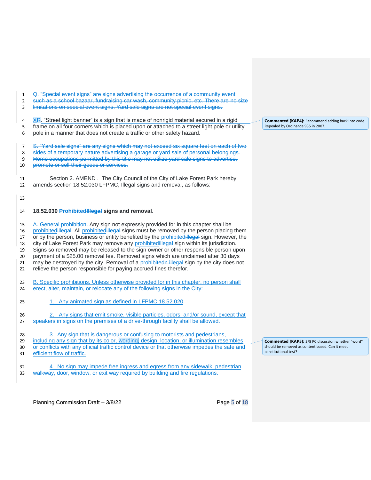| $\mathbf{1}$<br>$\overline{2}$<br>3          | Q. "Special event signs" are signs advertising the occurrence of a community event<br>such as a school bazaar, fundraising car wash, community picnic, etc. There are no size<br>limitations on special event signs. Yard sale signs are not special event signs.                                                                                                                                                                                                                                                                                                                                                                                                                                                       |                                                                                                                               |
|----------------------------------------------|-------------------------------------------------------------------------------------------------------------------------------------------------------------------------------------------------------------------------------------------------------------------------------------------------------------------------------------------------------------------------------------------------------------------------------------------------------------------------------------------------------------------------------------------------------------------------------------------------------------------------------------------------------------------------------------------------------------------------|-------------------------------------------------------------------------------------------------------------------------------|
| 4<br>5<br>6                                  | XR. "Street light banner" is a sign that is made of nonrigid material secured in a rigid<br>frame on all four corners which is placed upon or attached to a street light pole or utility<br>pole in a manner that does not create a traffic or other safety hazard.                                                                                                                                                                                                                                                                                                                                                                                                                                                     | <b>Commented [KAP4]: Recommend adding back into code</b><br>Repealed by Ordinance 935 in 2007.                                |
| $\overline{7}$<br>8<br>9<br>10               | S. "Yard sale signs" are any signs which may not exceed six square feet on each of two<br>sides of a temporary nature advertising a garage or yard sale of personal belongings.<br>Home occupations permitted by this title may not utilize yard sale signs to advertise,<br>promote or sell their goods or services.                                                                                                                                                                                                                                                                                                                                                                                                   |                                                                                                                               |
| 11<br>12                                     | Section 2. AMEND. The City Council of the City of Lake Forest Park hereby<br>amends section 18.52.030 LFPMC, Illegal signs and removal, as follows:                                                                                                                                                                                                                                                                                                                                                                                                                                                                                                                                                                     |                                                                                                                               |
| 13                                           |                                                                                                                                                                                                                                                                                                                                                                                                                                                                                                                                                                                                                                                                                                                         |                                                                                                                               |
| 14                                           | 18.52.030 Prohibited Hiegal signs and removal.                                                                                                                                                                                                                                                                                                                                                                                                                                                                                                                                                                                                                                                                          |                                                                                                                               |
| 15<br>16<br>17<br>18<br>19<br>20<br>21<br>22 | A. General prohibition. Any sign not expressly provided for in this chapter shall be<br>prohibitedillegal. All prohibitedillegal signs must be removed by the person placing them<br>or by the person, business or entity benefited by the prohibitedillegal sign. However, the<br>city of Lake Forest Park may remove any prohibitedillegal sign within its jurisdiction.<br>Signs so removed may be released to the sign owner or other responsible person upon<br>payment of a \$25.00 removal fee. Removed signs which are unclaimed after 30 days<br>may be destroyed by the city. Removal of a prohibitedn illegal sign by the city does not<br>relieve the person responsible for paying accrued fines therefor. |                                                                                                                               |
| 23<br>24                                     | B. Specific prohibitions. Unless otherwise provided for in this chapter, no person shall<br>erect, alter, maintain, or relocate any of the following signs in the City:                                                                                                                                                                                                                                                                                                                                                                                                                                                                                                                                                 |                                                                                                                               |
| 25                                           | 1. Any animated sign as defined in LFPMC 18.52.020.                                                                                                                                                                                                                                                                                                                                                                                                                                                                                                                                                                                                                                                                     |                                                                                                                               |
| 26<br>27                                     | 2. Any signs that emit smoke, visible particles, odors, and/or sound, except that<br>speakers in signs on the premises of a drive-through facility shall be allowed.                                                                                                                                                                                                                                                                                                                                                                                                                                                                                                                                                    |                                                                                                                               |
| 28<br>29<br>30<br>31                         | 3. Any sign that is dangerous or confusing to motorists and pedestrians,<br>including any sign that by its color, wording, design, location, or illumination resembles<br>or conflicts with any official traffic control device or that otherwise impedes the safe and<br>efficient flow of traffic.                                                                                                                                                                                                                                                                                                                                                                                                                    | Commented [KAP5]: 2/8 PC discussion whether "word"<br>should be removed as content based. Can it meet<br>constitutional test? |
| 32<br>33                                     | 4. No sign may impede free ingress and egress from any sidewalk, pedestrian<br>walkway, door, window, or exit way required by building and fire regulations.                                                                                                                                                                                                                                                                                                                                                                                                                                                                                                                                                            |                                                                                                                               |

Planning Commission Draft – 3/8/22 Planning Commission Draft – 3/8/22

 $\overline{1}$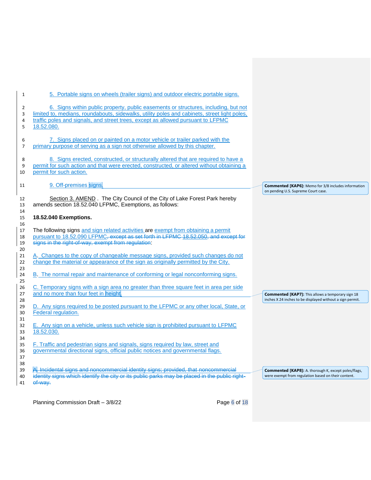| 1                             | 5. Portable signs on wheels (trailer signs) and outdoor electric portable signs.                                                                                                                                                                                                      |                                                                                                                    |
|-------------------------------|---------------------------------------------------------------------------------------------------------------------------------------------------------------------------------------------------------------------------------------------------------------------------------------|--------------------------------------------------------------------------------------------------------------------|
| $\overline{2}$<br>3<br>4<br>5 | 6. Signs within public property, public easements or structures, including, but not<br>limited to, medians, roundabouts, sidewalks, utility poles and cabinets, street light poles,<br>traffic poles and signals, and street trees, except as allowed pursuant to LFPMC<br>18.52.080. |                                                                                                                    |
| 6<br>$\overline{7}$           | 7. Signs placed on or painted on a motor vehicle or trailer parked with the<br>primary purpose of serving as a sign not otherwise allowed by this chapter.                                                                                                                            |                                                                                                                    |
| 8<br>9<br>10                  | 8. Signs erected, constructed, or structurally altered that are required to have a<br>permit for such action and that were erected, constructed, or altered without obtaining a<br>permit for such action.                                                                            |                                                                                                                    |
| 11                            | 9. Off-premises signs.                                                                                                                                                                                                                                                                | <b>Commented [KAP6]:</b> Memo for 3/8 includes information                                                         |
| 12<br>13<br>14                | Section 3. AMEND. The City Council of the City of Lake Forest Park hereby<br>amends section 18.52.040 LFPMC, Exemptions, as follows:                                                                                                                                                  | on pending U.S. Supreme Court case.                                                                                |
| 15<br>16                      | 18.52.040 Exemptions.                                                                                                                                                                                                                                                                 |                                                                                                                    |
| 17<br>18<br>19                | The following signs and sign related activities are exempt from obtaining a permit<br>pursuant to 18.52.090 LFPMC, except as set forth in LFPMC 18.52.050, and except for<br>signs in the right-of-way, exempt from regulation:                                                       |                                                                                                                    |
| 20<br>21<br>22<br>23          | A. Changes to the copy of changeable message signs, provided such changes do not<br>change the material or appearance of the sign as originally permitted by the City.                                                                                                                |                                                                                                                    |
| 24                            | B. The normal repair and maintenance of conforming or legal nonconforming signs.                                                                                                                                                                                                      |                                                                                                                    |
| 25<br>26<br>27                | C. Temporary signs with a sign area no greater than three square feet in area per side<br>and no more than four feet in height.                                                                                                                                                       | <b>Commented [KAP7]:</b> This allows a temporary sign 18                                                           |
| 28<br>29<br>30                | D. Any signs required to be posted pursuant to the LFPMC or any other local, State, or<br>Federal regulation.                                                                                                                                                                         | inches X 24 inches to be displayed without a sign permit.                                                          |
| 31<br>32<br>33                | E. Any sign on a vehicle, unless such vehicle sign is prohibited pursuant to LFPMC<br>18.52.030.                                                                                                                                                                                      |                                                                                                                    |
| 34<br>35<br>36<br>37          | F. Traffic and pedestrian signs and signals, signs required by law, street and<br>governmental directional signs, official public notices and governmental flags.                                                                                                                     |                                                                                                                    |
| 38<br>39<br>40<br>41          | A. Incidental signs and noncommercial identity signs; provided, that noncommercial<br>identity signs which identify the city or its public parks may be placed in the public right-<br>of-way.                                                                                        | <b>Commented [KAP8]:</b> A. thorough K, except poles/flags,<br>were exempt from regulation based on their content. |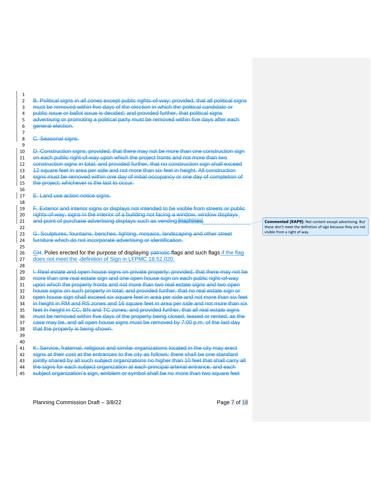B. Political signs in all zones except public rights-of-way; provided, that all political signs must be removed within five days of the election in which the political candidate or public issue or ballot issue is decided; and provided further, that political signs advertising or promoting a political party must be removed within five days after each general election. C. Seasonal signs. D. Construction signs; provided, that there may not be more than one construction sign

11 on each public right-of-way upon which the project fronts and not more than two construction signs in total; and provided further, that no construction sign shall exceed 13 12 square feet in area per side and not more than six feet in height. All construction signs must be removed within one day of initial occupancy or one day of completion of 15 the project; whichever is the last to occur. 17 E. Land use action notice signs. F. Exterior and interior signs or displays not intended to be visible from streets or public

 rights-of-way, signs in the interior of a building not facing a window, window displays. 21 and point of purchase advertising displays such as vending machines.

23 G. Sculptures, fountains, benches, lighting, mosaics, landscaping and other street<br>24 furniture which do not incorporate advertising or identification. furniture which do not incorporate advertising or identification.

 26 GH. Poles erected for the purpose of displaying patriotic-flags and such flags if the flag<br>27 does not meet the -definition of Sign in LFPMC 18.52.020. does not meet the .definition of Sign in LFPMC 18.52.020.

29 I. Real estate and open house signs on private property; provided, that there may not be more than one real estate sign and one open house sign on each public right-of-way upon which the property fronts and not more than two real estate signs and two open house signs on such property in total; and provided further, that no real estate sign or open house sign shall exceed six square feet in area per side and not more than six feet 34 in height in RM and RS zones and 16 square feet in area per side and not more than six feet in height in CC, BN and TC zones; and provided further, that all real estate signs must be removed within five days of the property being closed, leased or rented, as the 37 case may be, and all open house signs must be removed by 7:00 p.m. of the last day that the property is being shown. 

K. Service, fraternal, religious and similar organizations located in the city may erect

42 signs at their cost at the entrances to the city as follows: there shall be one standard

43 jointly shared by all such subject organizations no higher than 10 feet that shall carry all

the signs for each subject organization at each principal arterial entrance, and each<br>45 Subject organization's sign, emblem or symbol shall be no more than two square fee subject organization's sign, emblem or symbol shall be no more than two square feet

Planning Commission Draft – 3/8/22 Page 7 of 18

**Commented [KAP9]:** Not content except advertising. But these don't meet the definition of sign because they are not visible from a right of way.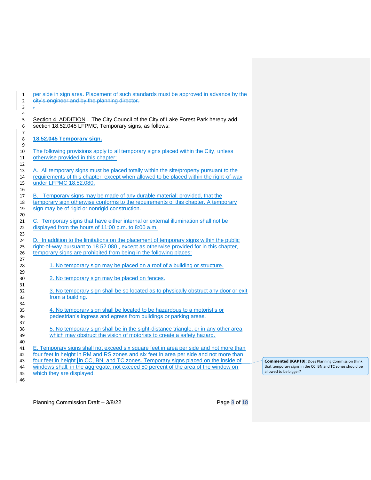| $\mathbf{1}$   | per side in sign area. Placement of such standards must be approved in advance by the   |                                                           |
|----------------|-----------------------------------------------------------------------------------------|-----------------------------------------------------------|
| $\mathbf 2$    | city's engineer and by the planning director.                                           |                                                           |
| 3              | ÷.                                                                                      |                                                           |
| 4              |                                                                                         |                                                           |
| 5              | Section 4. ADDITION . The City Council of the City of Lake Forest Park hereby add       |                                                           |
| 6              | section 18.52.045 LFPMC, Temporary signs, as follows:                                   |                                                           |
| $\overline{7}$ |                                                                                         |                                                           |
| 8              | 18.52.045 Temporary sign.                                                               |                                                           |
| 9              |                                                                                         |                                                           |
| 10             | The following provisions apply to all temporary signs placed within the City, unless    |                                                           |
| 11             | otherwise provided in this chapter:                                                     |                                                           |
| 12             |                                                                                         |                                                           |
| 13             | A. All temporary signs must be placed totally within the site/property pursuant to the  |                                                           |
| 14             | requirements of this chapter, except when allowed to be placed within the right-of-way  |                                                           |
| 15             | under LFPMC 18.52.080.                                                                  |                                                           |
| 16             |                                                                                         |                                                           |
| 17             | B. Temporary signs may be made of any durable material; provided, that the              |                                                           |
| 18             | temporary sign otherwise conforms to the requirements of this chapter. A temporary      |                                                           |
| 19             | sign may be of rigid or nonrigid construction.                                          |                                                           |
| 20             |                                                                                         |                                                           |
| 21             | C. Temporary signs that have either internal or external illumination shall not be      |                                                           |
| 22             | displayed from the hours of 11:00 p.m. to 8:00 a.m.                                     |                                                           |
| 23             |                                                                                         |                                                           |
| 24             | D. In addition to the limitations on the placement of temporary signs within the public |                                                           |
| 25             | right-of-way pursuant to 18.52.080, except as otherwise provided for in this chapter,   |                                                           |
| 26             | temporary signs are prohibited from being in the following places:                      |                                                           |
| 27             |                                                                                         |                                                           |
| 28             | 1. No temporary sign may be placed on a roof of a building or structure.                |                                                           |
| 29             |                                                                                         |                                                           |
| 30             | 2. No temporary sign may be placed on fences.                                           |                                                           |
| 31             |                                                                                         |                                                           |
| 32             | 3. No temporary sign shall be so located as to physically obstruct any door or exit     |                                                           |
| 33             | from a building.                                                                        |                                                           |
| 34             |                                                                                         |                                                           |
| 35             | 4. No temporary sign shall be located to be hazardous to a motorist's or                |                                                           |
| 36             | pedestrian's ingress and egress from buildings or parking areas.                        |                                                           |
| 37             |                                                                                         |                                                           |
| 38             | 5. No temporary sign shall be in the sight-distance triangle, or in any other area      |                                                           |
| 39             | which may obstruct the vision of motorists to create a safety hazard.                   |                                                           |
| 40             |                                                                                         |                                                           |
| 41             | E. Temporary signs shall not exceed six square feet in area per side and not more than  |                                                           |
| 42             | four feet in height in RM and RS zones and six feet in area per side and not more than  |                                                           |
| 43             | four feet in height in CC, BN, and TC zones. Temporary signs placed on the inside of    | <b>Commented [KAP10]:</b> Does Planning Commission think  |
| 44             | windows shall, in the aggregate, not exceed 50 percent of the area of the window on     | that temporary signs in the CC, BN and TC zones should be |
| 45             | which they are displayed.                                                               | allowed to be bigger?                                     |
| 46             |                                                                                         |                                                           |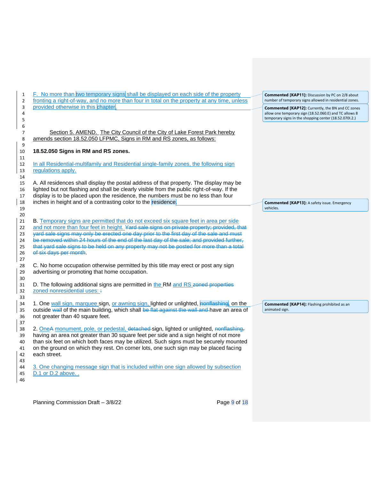| 1              | F. No more than two temporary signs shall be displayed on each side of the property         | <b>Commented [KAP11]:</b> Discussion by PC on 2/8 about  |
|----------------|---------------------------------------------------------------------------------------------|----------------------------------------------------------|
| $\overline{2}$ | fronting a right-of-way, and no more than four in total on the property at any time, unless | number of temporary signs allowed in residential zones.  |
| 3              | provided otherwise in this chapter.                                                         | <b>Commented [KAP12]:</b> Currently, the BN and CC zones |
| 4              |                                                                                             | allow one temporary sign (18.52.060.E) and TC allows 8   |
| 5              |                                                                                             | temporary signs in the shopping center (18.52.070I.2.)   |
| 6              |                                                                                             |                                                          |
| $\overline{7}$ | Section 5. AMEND. The City Council of the City of Lake Forest Park hereby                   |                                                          |
| 8              | amends section 18.52.050 LFPMC, Signs in RM and RS zones, as follows:                       |                                                          |
| 9              |                                                                                             |                                                          |
| 10             | 18.52.050 Signs in RM and RS zones.                                                         |                                                          |
| 11             |                                                                                             |                                                          |
| 12             | In all Residential-multifamily and Residential single-family zones, the following sign      |                                                          |
| 13             | regulations apply.                                                                          |                                                          |
| 14             |                                                                                             |                                                          |
| 15             | A. All residences shall display the postal address of that property. The display may be     |                                                          |
| 16             | lighted but not flashing and shall be clearly visible from the public right-of-way. If the  |                                                          |
| 17             | display is to be placed upon the residence, the numbers must be no less than four           |                                                          |
| 18             | inches in height and of a contrasting color to the residence.                               | <b>Commented [KAP13]: A safety issue. Emergency</b>      |
| 19             |                                                                                             | vehicles.                                                |
| 20             |                                                                                             |                                                          |
| 21             | B. Temporary signs are permitted that do not exceed six square feet in area per side        |                                                          |
| 22             | and not more than four feet in height. Yard sale signs on private property; provided, that  |                                                          |
| 23             | yard sale signs may only be erected one day prior to the first day of the sale and must     |                                                          |
| 24             | be removed within 24 hours of the end of the last day of the sale; and provided further,    |                                                          |
| 25             | that yard sale signs to be held on any property may not be posted for more than a total     |                                                          |
| 26             | of six days per month.                                                                      |                                                          |
| 27             |                                                                                             |                                                          |
| 28             | C. No home occupation otherwise permitted by this title may erect or post any sign          |                                                          |
| 29             | advertising or promoting that home occupation.                                              |                                                          |
| 30             |                                                                                             |                                                          |
| 31             | D. The following additional signs are permitted in the RM and RS zoned properties           |                                                          |
| 32             | zoned nonresidential uses: ÷                                                                |                                                          |
| 33             |                                                                                             |                                                          |
| 34             | 1. One wall sign, marquee sign, or awning sign, lighted or unlighted, nonflashing, on the   | <b>Commented [KAP14]:</b> Flashing prohibited as an      |
| 35             | outside wall of the main building, which shall be flat against the wall and have an area of | animated sign.                                           |
| 36             | not greater than 40 square feet.                                                            |                                                          |
| 37             |                                                                                             |                                                          |
| 38             | 2. OneA monument, pole, or pedestal, detached-sign, lighted or unlighted, nonflashing,      |                                                          |
| 39             | having an area not greater than 30 square feet per side and a sign height of not more       |                                                          |
| 40             | than six feet on which both faces may be utilized. Such signs must be securely mounted      |                                                          |
| 41             | on the ground on which they rest. On corner lots, one such sign may be placed facing        |                                                          |
| 42             | each street.                                                                                |                                                          |
| 43             |                                                                                             |                                                          |
| 44             | 3. One changing message sign that is included within one sign allowed by subsection         |                                                          |
| 45             | D.1 or D.2 above                                                                            |                                                          |
| 46             |                                                                                             |                                                          |
|                |                                                                                             |                                                          |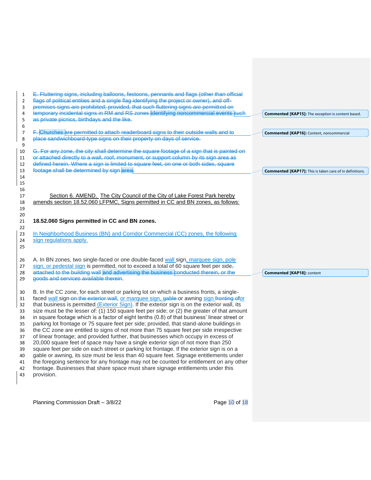|                | E. Fluttering signs, including balloons, festoons, pennants and flags (other than official                                                                                          |                                                                 |
|----------------|-------------------------------------------------------------------------------------------------------------------------------------------------------------------------------------|-----------------------------------------------------------------|
| 1<br>2         | flags of political entities and a single flag identifying the project or owner), and off-                                                                                           |                                                                 |
| 3              | premises signs are prohibited; provided, that such fluttering signs are permitted on                                                                                                |                                                                 |
| 4              | temporary incidental signs in RM and RS zones identifying noncommercial events such                                                                                                 | <b>Commented [KAP15]:</b> The exception is content based.       |
| 5              | as private picnics, birthdays and the like.                                                                                                                                         |                                                                 |
| 6              |                                                                                                                                                                                     |                                                                 |
| $\overline{7}$ | F. Churches are permitted to attach readerboard signs to their outside walls and to                                                                                                 | <b>Commented [KAP16]:</b> Content, noncommercial                |
| 8              | place sandwichboard-type signs on their property on days of service.                                                                                                                |                                                                 |
| 9              |                                                                                                                                                                                     |                                                                 |
| 10             | G. For any zone, the city shall determine the square footage of a sign that is painted on<br>or attached directly to a wall, roof, monument, or support column by its sign area as  |                                                                 |
| 11<br>12       | defined herein. Where a sign is limited to square feet, on one or both sides, square                                                                                                |                                                                 |
| 13             | footage shall be determined by sign area.                                                                                                                                           | <b>Commented [KAP17]:</b> This is taken care of in definitions. |
| 14             |                                                                                                                                                                                     |                                                                 |
| 15             |                                                                                                                                                                                     |                                                                 |
| 16             |                                                                                                                                                                                     |                                                                 |
| 17             | Section 6. AMEND. The City Council of the City of Lake Forest Park hereby                                                                                                           |                                                                 |
| 18             | amends section 18.52.060 LFPMC, Signs permitted in CC and BN zones, as follows:                                                                                                     |                                                                 |
| 19             |                                                                                                                                                                                     |                                                                 |
| 20             |                                                                                                                                                                                     |                                                                 |
| 21             | 18.52.060 Signs permitted in CC and BN zones.                                                                                                                                       |                                                                 |
| 22             |                                                                                                                                                                                     |                                                                 |
| 23             | In Neighborhood Business (BN) and Corridor Commercial (CC) zones, the following<br>sign regulations apply.                                                                          |                                                                 |
| 24             |                                                                                                                                                                                     |                                                                 |
| 25             |                                                                                                                                                                                     |                                                                 |
| 26             | A. In BN zones, two single-faced or one double-faced wall sign, marquee sign, pole                                                                                                  |                                                                 |
| 27             | sign, or pedestal sign is permitted, not to exceed a total of 60 square feet per side,                                                                                              |                                                                 |
| 28             | attached to the building wall and advertising the business conducted therein, or the                                                                                                | <b>Commented [KAP18]: content</b>                               |
| 29             | goods and services available therein.                                                                                                                                               |                                                                 |
|                |                                                                                                                                                                                     |                                                                 |
| 30             | B. In the CC zone, for each street or parking lot on which a business fronts, a single-                                                                                             |                                                                 |
| 31             | faced wall sign on the exterior wall, or marquee sign, gable or awning sign fronting of or                                                                                          |                                                                 |
| 32             | that business is permitted (Exterior Sign). If the exterior sign is on the exterior wall, its                                                                                       |                                                                 |
| 33             | size must be the lesser of: (1) 150 square feet per side; or (2) the greater of that amount                                                                                         |                                                                 |
| 34             | in square footage which is a factor of eight tenths (0.8) of that business' linear street or                                                                                        |                                                                 |
| 35             | parking lot frontage or 75 square feet per side; provided, that stand-alone buildings in                                                                                            |                                                                 |
| 36             | the CC zone are entitled to signs of not more than 75 square feet per side irrespective                                                                                             |                                                                 |
| 37             | of linear frontage; and provided further, that businesses which occupy in excess of                                                                                                 |                                                                 |
| 38             | 20,000 square feet of space may have a single exterior sign of not more than 250                                                                                                    |                                                                 |
| 39             | square feet per side on each street or parking lot frontage. If the exterior sign is on a<br>gable or awning, its size must be less than 40 square feet. Signage entitlements under |                                                                 |
| 40<br>41       | the foregoing sentence for any frontage may not be counted for entitlement on any other                                                                                             |                                                                 |
| 42             | frontage. Businesses that share space must share signage entitlements under this                                                                                                    |                                                                 |
| 43             | provision.                                                                                                                                                                          |                                                                 |
|                |                                                                                                                                                                                     |                                                                 |
|                |                                                                                                                                                                                     |                                                                 |
|                |                                                                                                                                                                                     |                                                                 |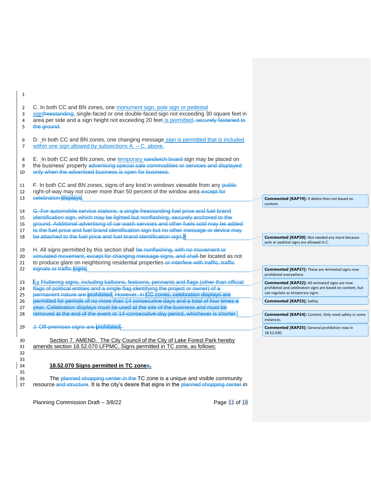| $\mathbf{1}$                               |                                                                                                                                                                                                                                                                                                                                                                |                                                                                                                                                        |
|--------------------------------------------|----------------------------------------------------------------------------------------------------------------------------------------------------------------------------------------------------------------------------------------------------------------------------------------------------------------------------------------------------------------|--------------------------------------------------------------------------------------------------------------------------------------------------------|
| $\overline{2}$<br>3<br>$\overline{4}$<br>5 | C. In both CC and BN zones, one monument sign, pole sign or pedestal<br>signfreestanding, single-faced or one double-faced sign not exceeding 30 square feet in<br>area per side and a sign height not exceeding 20 feet is permitted, securely fastened to<br>the ground.                                                                                     |                                                                                                                                                        |
| 6<br>$\overline{7}$                        | D. In both CC and BN zones, one changing message sign is permitted that is included<br>within one sign allowed by subsections $A - C$ . above.                                                                                                                                                                                                                 |                                                                                                                                                        |
| 8<br>9<br>10                               | E. In both CC and BN zones, one temporary sandwich board-sign may be placed on<br>the business' property advertising special sale commodities or services and displayed<br>only when the advertised business is open for business.                                                                                                                             |                                                                                                                                                        |
| 11<br>12<br>13                             | F. In both CC and BN zones, signs of any kind in windows viewable from any public<br>right-of-way may not cover more than 50 percent of the window area-except for<br>celebration displays                                                                                                                                                                     | Commented [KAP19]: If delete then not based on                                                                                                         |
| 14<br>15<br>16<br>17                       | G. For automobile service stations, a single freestanding fuel price and fuel brand<br>identification sign, which may be lighted but nonflashing, securely anchored to the<br>ground. Additional advertising of car wash services and other fuels sold may be added<br>to the fuel price and fuel brand identification sign but no other message or device may | content.                                                                                                                                               |
| 18                                         | be attached to the fuel price and fuel brand identification sign.                                                                                                                                                                                                                                                                                              | <b>Commented [KAP20]:</b> Not needed any more because<br>pole or pedistal signs are allowed in C.                                                      |
| 19<br>20<br>21                             | H. All signs permitted by this section shall be nonflashing, with no movement or<br>simulated movement, except for changing message signs, and shall be located as not<br>to produce glare on neighboring residential properties or interfere with traffic, traffic                                                                                            |                                                                                                                                                        |
| 22                                         | signals or traffic signs                                                                                                                                                                                                                                                                                                                                       | <b>Commented [KAP21]:</b> These are Animated signs now<br>prohibited everywhere.                                                                       |
| 23<br>24<br>25                             | I.a Fluttering signs, including balloons, festoons, pennants and flags (other than official<br>flags of political entities and a single flag identifying the project or owner) of a<br>permanent nature are prohibited. However, in CC zones, celebration displays are                                                                                         | <b>Commented [KAP22]:</b> All animated signs are now<br>prohibited and celebration signs are based on content, but<br>can regulate as temporary signs. |
| 26                                         | permitted for periods of no more than 14 consecutive days and a total of four times a<br>year. Celebration displays must be used at the site of the business and must be                                                                                                                                                                                       | <b>Commented [KAP23]: Safety</b>                                                                                                                       |
| 27<br>28                                   | removed at the end of the event or 14-consecutive-day period, whichever is shorter.                                                                                                                                                                                                                                                                            | <b>Commented [KAP24]:</b> Content. Only need safety in some<br>instances.                                                                              |
| 29                                         | J. Off-premises signs are prohibited.                                                                                                                                                                                                                                                                                                                          | <b>Commented [KAP25]:</b> General prohibition now in<br>18.52.030.                                                                                     |
| 30<br>31<br>32                             | Section 7. AMEND. The City Council of the City of Lake Forest Park hereby<br>amends section 18.52.070 LFPMC, Signs permitted in TC zone, as follows:                                                                                                                                                                                                           |                                                                                                                                                        |
| 33<br>34<br>35                             | 18.52.070 Signs permitted in TC zones.                                                                                                                                                                                                                                                                                                                         |                                                                                                                                                        |
| 36<br>37                                   | The planned shopping center in the TC zone is a unique and visible community<br>resource and structure. It is the city's desire that signs in the planned shopping center-in                                                                                                                                                                                   |                                                                                                                                                        |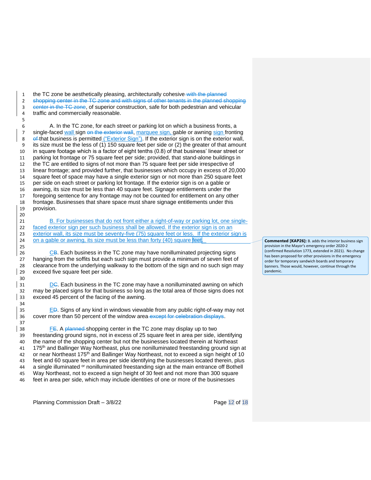1 the TC zone be aesthetically pleasing, architecturally cohesive with the planned 2 shopping center in the TC zone and with signs of other tenants in the planned shopping 3 center in the TC zone, of superior construction, safe for both pedestrian and vehicular traffic and commercially reasonable.

 A. In the TC zone, for each street or parking lot on which a business fronts, a 7 single-faced wall sign on the exterior wall, marquee sign, gable or awning sign fronting 8 of that business is permitted ("Exterior Sign"). If the exterior sign is on the exterior wall, its size must be the less of (1) 150 square feet per side or (2) the greater of that amount in square footage which is a factor of eight tenths (0.8) of that business' linear street or parking lot frontage or 75 square feet per side; provided, that stand-alone buildings in the TC are entitled to signs of not more than 75 square feet per side irrespective of linear frontage; and provided further, that businesses which occupy in excess of 20,000 square feet of space may have a single exterior sign or not more than 250 square feet per side on each street or parking lot frontage. If the exterior sign is on a gable or awning, its size must be less than 40 square feet. Signage entitlements under the foregoing sentence for any frontage may not be counted for entitlement on any other frontage. Businesses that share space must share signage entitlements under this provision. 

 B. For businesses that do not front either a right-of-way or parking lot, one single- faced exterior sign per such business shall be allowed. If the exterior sign is on an exterior wall, its size must be seventy-five (75) square feet or less. If the exterior sign is 24 on a gable or awning, its size must be less than forty (40) square feet.

 26  $\text{CB}$ . Each business in the TC zone may have nonilluminated projecting signs 27 handing from the soffits but each such sign must provide a minimum of seven feet of hanging from the soffits but each such sign must provide a minimum of seven feet of clearance from the underlying walkway to the bottom of the sign and no such sign may exceed five square feet per side.

 DG. Each business in the TC zone may have a nonilluminated awning on which may be placed signs for that business so long as the total area of those signs does not 33 exceed 45 percent of the facing of the awning.

 ED. Signs of any kind in windows viewable from any public right-of-way may not cover more than 50 percent of the window area except for celebration displays.

 FE. A planned shopping center in the TC zone may display up to two freestanding ground signs, not in excess of 25 square feet in area per side, identifying the name of the shopping center but not the businesses located therein at Northeast 175<sup>th</sup> and Ballinger Way Northeast, plus one nonilluminated freestanding ground sign at 42 or near Northeast 175<sup>th</sup> and Ballinger Way Northeast, not to exceed a sign height of 10 feet and 60 square feet in area per side identifying the businesses located therein, plus 44 a single illuminated <sup>or</sup> nonilluminated freestanding sign at the main entrance off Bothell Way Northeast, not to exceed a sign height of 30 feet and not more than 300 square feet in area per side, which may include identities of one or more of the businesses

Planning Commission Draft – 3/8/22 Page 12 of 18

**Commented [KAP26]:** B. adds the interior business sign provision in the Mayor's emergency order 2020-2 (confirmed Resolution 1773, extended in 2021). No change has been proposed for other provisions in the emergency order for temporary sandwich boards and temporary banners. Those would, however, continue through the pandemic.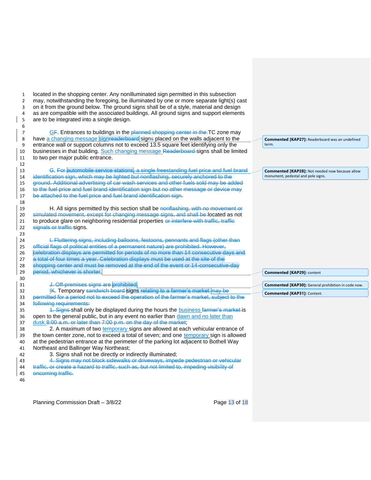| 1<br>$\overline{2}$<br>3<br>4<br>5<br>6 | located in the shopping center. Any nonilluminated sign permitted in this subsection<br>may, notwithstanding the foregoing, be illuminated by one or more separate light(s) cast<br>on it from the ground below. The ground signs shall be of a style, material and design<br>as are compatible with the associated buildings. All ground signs and support elements<br>are to be integrated into a single design. |  |                                                            |
|-----------------------------------------|--------------------------------------------------------------------------------------------------------------------------------------------------------------------------------------------------------------------------------------------------------------------------------------------------------------------------------------------------------------------------------------------------------------------|--|------------------------------------------------------------|
| $\overline{7}$<br>8                     | GF. Entrances to buildings in the planned shopping center in the TC zone may<br>have a changing message signreaderboard signs placed on the walls adjacent to the                                                                                                                                                                                                                                                  |  | <b>Commented [KAP27]: Readerboard was an undefined</b>     |
| 9                                       | entrance wall or support columns not to exceed 13.5 square feet identifying only the                                                                                                                                                                                                                                                                                                                               |  | term.                                                      |
| 10                                      | businesses in that building. Such changing message Readerboard-signs shall be limited                                                                                                                                                                                                                                                                                                                              |  |                                                            |
| 11                                      | to two per major public entrance.                                                                                                                                                                                                                                                                                                                                                                                  |  |                                                            |
| 12                                      |                                                                                                                                                                                                                                                                                                                                                                                                                    |  |                                                            |
| 13                                      | G. For automobile service stations, a single freestanding fuel price and fuel brand                                                                                                                                                                                                                                                                                                                                |  | Commented [KAP28]: Not needed now because allow            |
| 14                                      | identification sign, which may be lighted but nonflashing, securely anchored to the                                                                                                                                                                                                                                                                                                                                |  | monument, pedestal and pole signs.                         |
| 15                                      | ground. Additional advertising of car wash services and other fuels sold may be added                                                                                                                                                                                                                                                                                                                              |  |                                                            |
| 16                                      | to the fuel price and fuel brand identification sign but no other message or device may<br>be attached to the fuel price and fuel brand identification sign.                                                                                                                                                                                                                                                       |  |                                                            |
| 17                                      |                                                                                                                                                                                                                                                                                                                                                                                                                    |  |                                                            |
| 18                                      |                                                                                                                                                                                                                                                                                                                                                                                                                    |  |                                                            |
| 19                                      | H. All signs permitted by this section shall be nonflashing, with no movement or<br>simulated movement, except for changing message signs, and shall be located as not                                                                                                                                                                                                                                             |  |                                                            |
| 20                                      |                                                                                                                                                                                                                                                                                                                                                                                                                    |  |                                                            |
| 21                                      | to produce glare on neighboring residential properties or interfere with traffic, traffic<br>signals or traffic signs.                                                                                                                                                                                                                                                                                             |  |                                                            |
| 22                                      |                                                                                                                                                                                                                                                                                                                                                                                                                    |  |                                                            |
| 23                                      | I. Fluttering signs, including balloons, festoons, pennants and flags (other than                                                                                                                                                                                                                                                                                                                                  |  |                                                            |
| 24                                      | official flags of political entities of a permanent nature) are prohibited. However,                                                                                                                                                                                                                                                                                                                               |  |                                                            |
| 25                                      | celebration displays are permitted for periods of no more than 14 consecutive days and                                                                                                                                                                                                                                                                                                                             |  |                                                            |
| 26<br>27                                | a total of four times a year. Celebration displays must be used at the site of the                                                                                                                                                                                                                                                                                                                                 |  |                                                            |
| 28                                      | shopping center and must be removed at the end of the event or 14-consecutive-day                                                                                                                                                                                                                                                                                                                                  |  |                                                            |
| 29                                      | period, whichever is shorter.                                                                                                                                                                                                                                                                                                                                                                                      |  |                                                            |
| 30                                      |                                                                                                                                                                                                                                                                                                                                                                                                                    |  | <b>Commented [KAP29]: content</b>                          |
| 31                                      | J. Off-premises signs are prohibited                                                                                                                                                                                                                                                                                                                                                                               |  |                                                            |
| 32                                      | IK. Temporary sandwich board signs relating to a farmer's market may be                                                                                                                                                                                                                                                                                                                                            |  | <b>Commented [KAP30]:</b> General prohibition in code now. |
| 33                                      | permitted for a period not to exceed the operation of the farmer's market, subject to the                                                                                                                                                                                                                                                                                                                          |  | <b>Commented [KAP31]: Content.</b>                         |
| 34                                      | following requirements:                                                                                                                                                                                                                                                                                                                                                                                            |  |                                                            |
| 35                                      | 4. Signs-shall only be displayed during the hours the business farmer's market is                                                                                                                                                                                                                                                                                                                                  |  |                                                            |
| 36                                      | open to the general public, but in any event no earlier than dawn and no later than                                                                                                                                                                                                                                                                                                                                |  |                                                            |
| 37                                      | dusk.8:00 a.m. or later than 7:00 p.m. on the day of the market;                                                                                                                                                                                                                                                                                                                                                   |  |                                                            |
| 38                                      | 2. A maximum of two temporary signs are allowed at each vehicular entrance of                                                                                                                                                                                                                                                                                                                                      |  |                                                            |
| 39                                      | the town center zone, not to exceed a total of seven; and one temporary sign is allowed                                                                                                                                                                                                                                                                                                                            |  |                                                            |
| 40                                      | at the pedestrian entrance at the perimeter of the parking lot adjacent to Bothell Way                                                                                                                                                                                                                                                                                                                             |  |                                                            |
| 41                                      | Northeast and Ballinger Way Northeast;                                                                                                                                                                                                                                                                                                                                                                             |  |                                                            |
| 42                                      | 3. Signs shall not be directly or indirectly illuminated;                                                                                                                                                                                                                                                                                                                                                          |  |                                                            |
| 43                                      | 4. Signs may not block sidewalks or driveways, impede pedestrian or vehicular                                                                                                                                                                                                                                                                                                                                      |  |                                                            |
| 44                                      | traffic, or create a hazard to traffic, such as, but not limited to, impeding visibility of                                                                                                                                                                                                                                                                                                                        |  |                                                            |
| 45                                      | oncoming traffic.                                                                                                                                                                                                                                                                                                                                                                                                  |  |                                                            |
| 46                                      |                                                                                                                                                                                                                                                                                                                                                                                                                    |  |                                                            |
|                                         |                                                                                                                                                                                                                                                                                                                                                                                                                    |  |                                                            |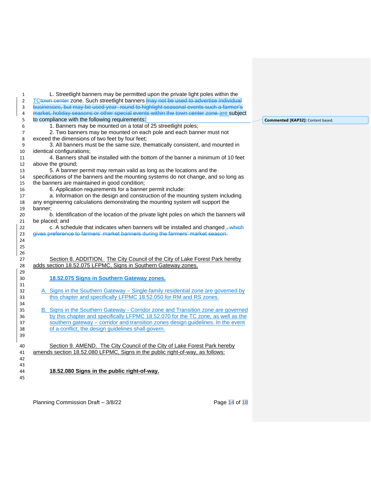| 1              | L. Streetlight banners may be permitted upon the private light poles within the                                                                                   |                                   |
|----------------|-------------------------------------------------------------------------------------------------------------------------------------------------------------------|-----------------------------------|
| $\overline{2}$ | TCtown center zone. Such streetlight banners may not be used to advertise individual                                                                              |                                   |
| 3              | businesses, but may be used year- round to highlight seasonal events such a farmer's                                                                              |                                   |
| 4              | market, holiday seasons or other special events within the town center zone are subject                                                                           |                                   |
| 5              | to compliance with the following requirements:                                                                                                                    | Commented [KAP32]: Content based. |
| 6              | 1. Banners may be mounted on a total of 25 streetlight poles;                                                                                                     |                                   |
| 7              | 2. Two banners may be mounted on each pole and each banner must not                                                                                               |                                   |
| 8              | exceed the dimensions of two feet by four feet;                                                                                                                   |                                   |
| 9              | 3. All banners must be the same size, thematically consistent, and mounted in                                                                                     |                                   |
| 10             | identical configurations;                                                                                                                                         |                                   |
| 11             | 4. Banners shall be installed with the bottom of the banner a minimum of 10 feet                                                                                  |                                   |
| 12             | above the ground;                                                                                                                                                 |                                   |
| 13             | 5. A banner permit may remain valid as long as the locations and the                                                                                              |                                   |
| 14             | specifications of the banners and the mounting systems do not change, and so long as                                                                              |                                   |
| 15             | the banners are maintained in good condition;                                                                                                                     |                                   |
| 16             | 6. Application requirements for a banner permit include:                                                                                                          |                                   |
| 17             | a. Information on the design and construction of the mounting system including                                                                                    |                                   |
| 18             | any engineering calculations demonstrating the mounting system will support the                                                                                   |                                   |
| 19             | banner:                                                                                                                                                           |                                   |
| 20             | b. Identification of the location of the private light poles on which the banners will                                                                            |                                   |
| 21             | be placed; and                                                                                                                                                    |                                   |
| 22<br>23       | c. A schedule that indicates when banners will be installed and changed., which<br>gives preference to farmers' market banners during the farmers' market season. |                                   |
| 24             |                                                                                                                                                                   |                                   |
| 25             |                                                                                                                                                                   |                                   |
| 26             |                                                                                                                                                                   |                                   |
| 27             | Section 8. ADDITION. The City Council of the City of Lake Forest Park hereby                                                                                      |                                   |
| 28             | adds section 18.52.075 LFPMC, Signs in Southern Gateway zones.                                                                                                    |                                   |
| 29             |                                                                                                                                                                   |                                   |
| 30             | 18.52.075 Signs in Southern Gateway zones.                                                                                                                        |                                   |
| 31             |                                                                                                                                                                   |                                   |
| 32             | A. Signs in the Southern Gateway – Single-family residential zone are governed by                                                                                 |                                   |
| 33             | this chapter and specifically LFPMC 18.52.050 for RM and RS zones.                                                                                                |                                   |
| 34             |                                                                                                                                                                   |                                   |
| 35             | B. Signs in the Southern Gateway - Corridor zone and Transition zone are governed                                                                                 |                                   |
| 36             | by this chapter and specifically LFPMC 18.52.070 for the TC zone, as well as the                                                                                  |                                   |
| 37             | southern gateway – corridor and transition zones design guidelines. In the event                                                                                  |                                   |
| 38             | of a conflict, the design guidelines shall govern.                                                                                                                |                                   |
| 39             |                                                                                                                                                                   |                                   |
|                |                                                                                                                                                                   |                                   |
| 40             | Section 9. AMEND. The City Council of the City of Lake Forest Park hereby<br>amends section 18.52.080 LFPMC, Signs in the public right-of-way, as follows:        |                                   |
| 41<br>42       |                                                                                                                                                                   |                                   |
| 43             |                                                                                                                                                                   |                                   |
| 44             | 18.52.080 Signs in the public right-of-way.                                                                                                                       |                                   |
| 45             |                                                                                                                                                                   |                                   |
|                |                                                                                                                                                                   |                                   |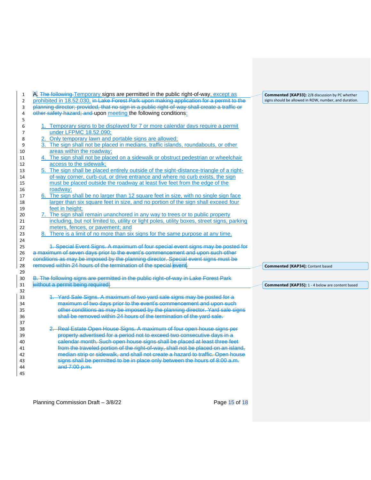| 1              | A. The following Temporary signs are permitted in the public right-of-way, except as         | Comr    |
|----------------|----------------------------------------------------------------------------------------------|---------|
| $\overline{2}$ | prohibited in 18.52.030, in Lake Forest Park upon making application for a permit to the     | signs s |
| 3              | planning director; provided, that no sign in a public right-of-way shall create a traffic or |         |
| 4              | other safety hazard; and upon meeting the following conditions:                              |         |
| 5              |                                                                                              |         |
| 6              | 1. Temporary signs to be displayed for 7 or more calendar days require a permit              |         |
| $\overline{7}$ | under LFPMC 18.52.090;                                                                       |         |
| 8              | 2. Only temporary lawn and portable signs are allowed;                                       |         |
| 9              | 3. The sign shall not be placed in medians, traffic islands, roundabouts, or other           |         |
| 10             | areas within the roadway;                                                                    |         |
| 11             | 4. The sign shall not be placed on a sidewalk or obstruct pedestrian or wheelchair           |         |
| 12             | access to the sidewalk;                                                                      |         |
| 13             | 5. The sign shall be placed entirely outside of the sight-distance-triangle of a right-      |         |
| 14             | of-way corner, curb-cut, or drive entrance and where no curb exists, the sign                |         |
| 15             | must be placed outside the roadway at least five feet from the edge of the                   |         |
| 16             | roadway;                                                                                     |         |
| 17             | 6. The sign shall be no larger than 12 square feet in size, with no single sign face         |         |
| 18             | larger than six square feet in size, and no portion of the sign shall exceed four            |         |
| 19             | feet in height;                                                                              |         |
| 20             | 7. The sign shall remain unanchored in any way to trees or to public property                |         |
| 21             | including, but not limited to, utility or light poles, utility boxes, street signs, parking  |         |
| 22             | meters, fences, or pavement; and                                                             |         |
| 23             | 8. There is a limit of no more than six signs for the same purpose at any time.              |         |
| 24             |                                                                                              |         |
| 25             | 1. Special Event Signs. A maximum of four special event signs may be posted for              |         |
| 26             | a maximum of seven days prior to the event's commencement and upon such other                |         |
| 27             | conditions as may be imposed by the planning director. Special event signs must be           |         |
| 28             | removed within 24 hours of the termination of the special event.                             | Comr    |
| 29             |                                                                                              |         |
| 30             | B. The following signs are permitted in the public right-of-way in Lake Forest Park          |         |
| 31             | without a permit being required:                                                             | Comr    |
| 32             |                                                                                              |         |
| 33             | 1. Yard Sale Signs. A maximum of two yard sale signs may be posted for a                     |         |
| 34             | maximum of two days prior to the event's commencement and upon such                          |         |
| 35             | other conditions as may be imposed by the planning director. Yard sale signs                 |         |
| 36             | shall be removed within 24 hours of the termination of the yard sale.                        |         |
| 37             |                                                                                              |         |
| 38             | 2. Real Estate Open House Signs. A maximum of four open house signs per                      |         |
| 39             | property advertised for a period not to exceed two consecutive days in a                     |         |
| 40             | calendar month. Such open house signs shall be placed at least three feet                    |         |
| 41             | from the traveled portion of the right-of-way, shall not be placed on an island,             |         |
| 42             | median strip or sidewalk, and shall not create a hazard to traffic. Open house               |         |
| 43             | signs shall be permitted to be in place only between the hours of 8:00 a.m.                  |         |
| 44             | and 7:00 p.m.                                                                                |         |
| 45             |                                                                                              |         |
|                |                                                                                              |         |

**Commented [KAP33]:** 2/8 discussion by PC whether signs should be allowed in ROW, number, and duration.

**mented [KAP34]:** Content based

**nented [KAP35]:** 1 - 4 below are content based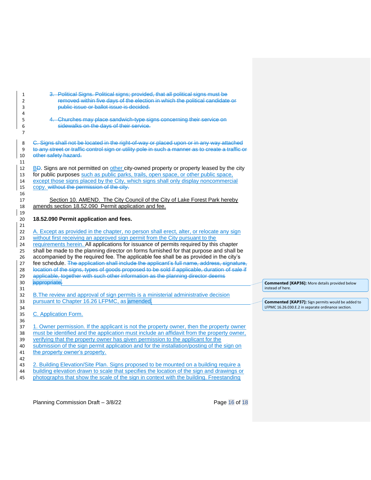| 1              | 3. Political Signs. Political signs; provided, that all political signs must be                  |  |
|----------------|--------------------------------------------------------------------------------------------------|--|
| 2              | removed within five days of the election in which the political candidate or                     |  |
| 3              | public issue or ballot issue is decided.                                                         |  |
| 4              |                                                                                                  |  |
| 5              | 4. Churches may place sandwich-type signs concerning their service on                            |  |
| 6              | sidewalks on the days of their service.                                                          |  |
| $\overline{7}$ |                                                                                                  |  |
|                |                                                                                                  |  |
| 8              | C. Signs shall not be located in the right-of-way or placed upon or in any way attached          |  |
| 9              | to any street or traffic control sign or utility pole in such a manner as to create a traffic or |  |
| 10             | other safety hazard.                                                                             |  |
| 11             |                                                                                                  |  |
| 12             | BD. Signs are not permitted on other city-owned property or property leased by the city          |  |
| 13             | for public purposes such as public parks, trails, open space, or other public space,             |  |
| 14             | except those signs placed by the City, which signs shall only display noncommercial              |  |
| 15             | copy. without the permission of the city.                                                        |  |
| 16             |                                                                                                  |  |
| 17             | Section 10. AMEND. The City Council of the City of Lake Forest Park hereby                       |  |
| 18             | amends section 18.52.090 Permit application and fee.                                             |  |
| 19             |                                                                                                  |  |
| 20             | 18.52.090 Permit application and fees.                                                           |  |
| 21             |                                                                                                  |  |
| 22             | A. Except as provided in the chapter, no person shall erect, alter, or relocate any sign         |  |
| 23             | without first receiving an approved sign permit from the City pursuant to the                    |  |
| 24             | requirements herein. All applications for issuance of permits required by this chapter           |  |
| 25             | shall be made to the planning director on forms furnished for that purpose and shall be          |  |
| 26             | accompanied by the required fee. The applicable fee shall be as provided in the city's           |  |
| 27             | fee schedule. The application shall include the applicant's full name, address, signature,       |  |
| 28             | location of the signs, types of goods proposed to be sold if applicable, duration of sale if     |  |
| 29             | applicable, together with such other information as the planning director deems                  |  |
| 30             | appropriate.                                                                                     |  |
| 31             |                                                                                                  |  |
| 32             | B. The review and approval of sign permits is a ministerial administrative decision              |  |
| 33             | pursuant to Chapter 16.26 LFPMC, as amended.                                                     |  |
| 34             |                                                                                                  |  |
| 35             | C. Application Form.                                                                             |  |
| 36             |                                                                                                  |  |
| 37             | 1. Owner permission. If the applicant is not the property owner, then the property owner         |  |
| 38             | must be identified and the application must include an affidavit from the property owner,        |  |
| 39             | verifying that the property owner has given permission to the applicant for the                  |  |
| 40             | submission of the sign permit application and for the installation/posting of the sign on        |  |
| 41             | the property owner's property.                                                                   |  |
| 42             |                                                                                                  |  |
| 43             | 2. Building Elevation/Site Plan. Signs proposed to be mounted on a building require a            |  |
| 44             | building elevation drawn to scale that specifies the location of the sign and drawings or        |  |
| 45             | photographs that show the scale of the sign in context with the building. Freestanding           |  |
|                |                                                                                                  |  |
|                |                                                                                                  |  |

**Commented [KAP36]:** More details provided below instead of here.

**Commented [KAP37]:** Sign permits would be added to LFPMC 16.26.030.E.2 in separate ordinance section.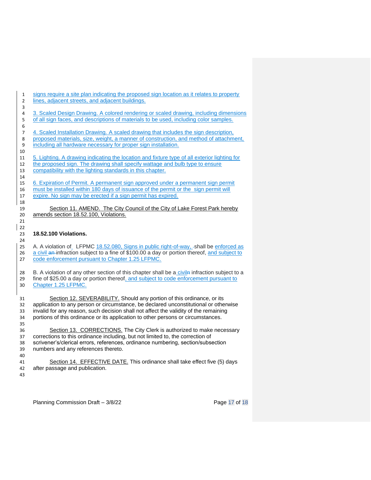| $\mathbf{1}$<br>$\overline{2}$<br>3<br>4<br>5<br>6<br>7<br>8<br>9<br>10<br>11<br>12<br>13<br>14<br>15<br>16<br>17<br>18<br>19<br>20<br>21 | signs require a site plan indicating the proposed sign location as it relates to property<br>lines, adjacent streets, and adjacent buildings.                                                                                                                                                                                              |
|-------------------------------------------------------------------------------------------------------------------------------------------|--------------------------------------------------------------------------------------------------------------------------------------------------------------------------------------------------------------------------------------------------------------------------------------------------------------------------------------------|
|                                                                                                                                           | 3. Scaled Design Drawing. A colored rendering or scaled drawing, including dimensions<br>of all sign faces, and descriptions of materials to be used, including color samples.                                                                                                                                                             |
|                                                                                                                                           | 4. Scaled Installation Drawing. A scaled drawing that includes the sign description,<br>proposed materials, size, weight, a manner of construction, and method of attachment,<br>including all hardware necessary for proper sign installation.                                                                                            |
|                                                                                                                                           | 5. Lighting. A drawing indicating the location and fixture type of all exterior lighting for<br>the proposed sign. The drawing shall specify wattage and bulb type to ensure<br>compatibility with the lighting standards in this chapter.                                                                                                 |
|                                                                                                                                           | 6. Expiration of Permit. A permanent sign approved under a permanent sign permit<br>must be installed within 180 days of issuance of the permit or the sign permit will<br>expire. No sign may be erected if a sign permit has expired.                                                                                                    |
|                                                                                                                                           | Section 11. AMEND. The City Council of the City of Lake Forest Park hereby<br>amends section 18.52.100, Violations.                                                                                                                                                                                                                        |
| 22<br>23<br>24                                                                                                                            | <b>18.52.100 Violations.</b>                                                                                                                                                                                                                                                                                                               |
| 25<br>26<br>27                                                                                                                            | A. A violation of LFPMC 18.52.080, Signs in public right-of-way, -shall be enforced as<br>a civil an-infraction subject to a fine of \$100.00 a day or portion thereof, and subject to<br>code enforcement pursuant to Chapter 1.25 LFPMC.                                                                                                 |
| 28<br>29<br>30                                                                                                                            | B. A violation of any other section of this chapter shall be a civile infraction subject to a<br>fine of \$25.00 a day or portion thereof, and subject to code enforcement pursuant to<br>Chapter 1.25 LFPMC.                                                                                                                              |
| 31<br>32<br>33<br>34<br>35<br>36<br>37<br>38<br>39<br>40<br>41<br>42<br>43                                                                | Section 12. SEVERABILITY. Should any portion of this ordinance, or its<br>application to any person or circumstance, be declared unconstitutional or otherwise<br>invalid for any reason, such decision shall not affect the validity of the remaining<br>portions of this ordinance or its application to other persons or circumstances. |
|                                                                                                                                           | Section 13. CORRECTIONS. The City Clerk is authorized to make necessary<br>corrections to this ordinance including, but not limited to, the correction of<br>scrivener's/clerical errors, references, ordinance numbering, section/subsection<br>numbers and any references thereto.                                                       |
|                                                                                                                                           | Section 14. EFFECTIVE DATE. This ordinance shall take effect five (5) days<br>after passage and publication.                                                                                                                                                                                                                               |
|                                                                                                                                           |                                                                                                                                                                                                                                                                                                                                            |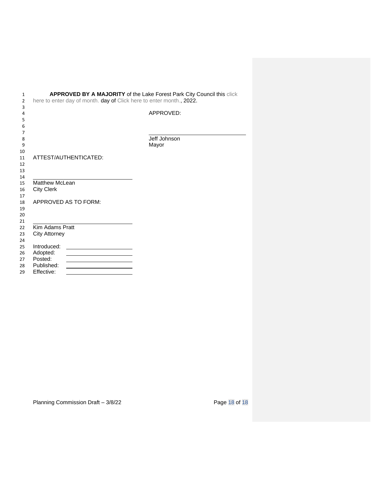| $\mathbf{1}$<br>$\overline{2}$ | APPROVED BY A MAJORITY of the Lake Forest Park City Council this click<br>here to enter day of month. day of Click here to enter month., 2022. |                       |  |
|--------------------------------|------------------------------------------------------------------------------------------------------------------------------------------------|-----------------------|--|
| 3<br>4<br>5                    |                                                                                                                                                | APPROVED:             |  |
| 6<br>7                         |                                                                                                                                                |                       |  |
| 8<br>9                         |                                                                                                                                                | Jeff Johnson<br>Mayor |  |
| 10<br>11<br>12<br>13<br>14     | ATTEST/AUTHENTICATED:                                                                                                                          |                       |  |
| 15<br>16<br>17                 | <b>Matthew McLean</b><br><b>City Clerk</b>                                                                                                     |                       |  |
| 18<br>19<br>20<br>21           | APPROVED AS TO FORM:                                                                                                                           |                       |  |
| 22<br>23<br>24                 | Kim Adams Pratt<br><b>City Attorney</b>                                                                                                        |                       |  |
| 25<br>26<br>27<br>28<br>29     | Introduced:<br>Adopted:<br>Posted:<br>Published:<br>Effective:                                                                                 |                       |  |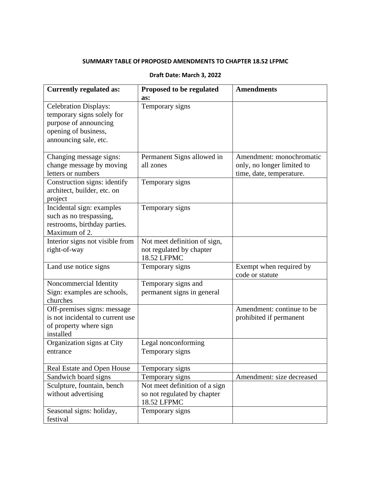### **SUMMARY TABLE Of PROPOSED AMENDMENTS TO CHAPTER 18.52 LFPMC**

| <b>Currently regulated as:</b>                                                                                                       | Proposed to be regulated                                                       | <b>Amendments</b>                                                                  |
|--------------------------------------------------------------------------------------------------------------------------------------|--------------------------------------------------------------------------------|------------------------------------------------------------------------------------|
| <b>Celebration Displays:</b><br>temporary signs solely for<br>purpose of announcing<br>opening of business,<br>announcing sale, etc. | as:<br>Temporary signs                                                         |                                                                                    |
| Changing message signs:<br>change message by moving<br>letters or numbers                                                            | Permanent Signs allowed in<br>all zones                                        | Amendment: monochromatic<br>only, no longer limited to<br>time, date, temperature. |
| Construction signs: identify<br>architect, builder, etc. on<br>project                                                               | Temporary signs                                                                |                                                                                    |
| Incidental sign: examples<br>such as no trespassing,<br>restrooms, birthday parties.<br>Maximum of 2.                                | Temporary signs                                                                |                                                                                    |
| Interior signs not visible from<br>right-of-way                                                                                      | Not meet definition of sign,<br>not regulated by chapter<br><b>18.52 LFPMC</b> |                                                                                    |
| Land use notice signs                                                                                                                | Temporary signs                                                                | Exempt when required by<br>code or statute                                         |
| Noncommercial Identity<br>Sign: examples are schools,<br>churches                                                                    | Temporary signs and<br>permanent signs in general                              |                                                                                    |
| Off-premises signs: message<br>is not incidental to current use<br>of property where sign<br>installed                               |                                                                                | Amendment: continue to be<br>prohibited if permanent                               |
| Organization signs at City<br>entrance                                                                                               | Legal nonconforming<br>Temporary signs                                         |                                                                                    |
| Real Estate and Open House                                                                                                           | Temporary signs                                                                |                                                                                    |
| Sandwich board signs                                                                                                                 | Temporary signs                                                                | Amendment: size decreased                                                          |
| Sculpture, fountain, bench<br>without advertising                                                                                    | Not meet definition of a sign<br>so not regulated by chapter<br>18.52 LFPMC    |                                                                                    |
| Seasonal signs: holiday,<br>festival                                                                                                 | Temporary signs                                                                |                                                                                    |

## **Draft Date: March 3, 2022**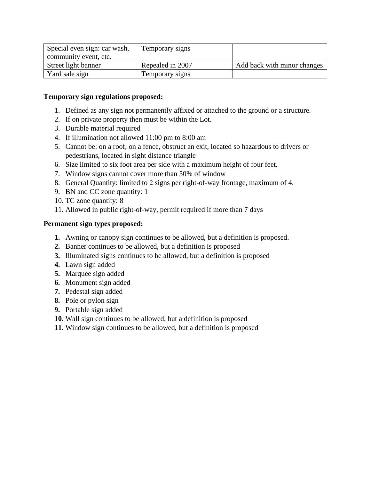| Special even sign: car wash, | Temporary signs  |                             |
|------------------------------|------------------|-----------------------------|
| community event, etc.        |                  |                             |
| Street light banner          | Repealed in 2007 | Add back with minor changes |
| Yard sale sign               | Temporary signs  |                             |

## **Temporary sign regulations proposed:**

- 1. Defined as any sign not permanently affixed or attached to the ground or a structure.
- 2. If on private property then must be within the Lot.
- 3. Durable material required
- 4. If illumination not allowed 11:00 pm to 8:00 am
- 5. Cannot be: on a roof, on a fence, obstruct an exit, located so hazardous to drivers or pedestrians, located in sight distance triangle
- 6. Size limited to six foot area per side with a maximum height of four feet.
- 7. Window signs cannot cover more than 50% of window
- 8. General Quantity: limited to 2 signs per right-of-way frontage, maximum of 4.
- 9. BN and CC zone quantity: 1
- 10. TC zone quantity: 8
- 11. Allowed in public right-of-way, permit required if more than 7 days

# **Permanent sign types proposed:**

- **1.** Awning or canopy sign continues to be allowed, but a definition is proposed.
- **2.** Banner continues to be allowed, but a definition is proposed
- **3.** Illuminated signs continues to be allowed, but a definition is proposed
- **4.** Lawn sign added
- **5.** Marquee sign added
- **6.** Monument sign added
- **7.** Pedestal sign added
- **8.** Pole or pylon sign
- **9.** Portable sign added
- **10.** Wall sign continues to be allowed, but a definition is proposed
- **11.** Window sign continues to be allowed, but a definition is proposed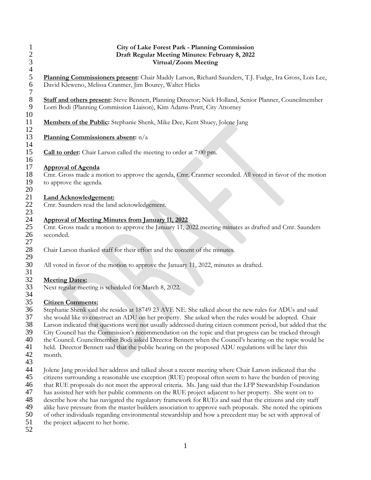| $\mathbf{I}$<br>$\overline{\mathbf{c}}$<br>3          | City of Lake Forest Park - Planning Commission<br>Draft Regular Meeting Minutes: February 8, 2022<br>Virtual/Zoom Meeting                                                                                                                                                                                                                                                                                                                                                                                                                                                                                                                                                                                                                                                                                            |
|-------------------------------------------------------|----------------------------------------------------------------------------------------------------------------------------------------------------------------------------------------------------------------------------------------------------------------------------------------------------------------------------------------------------------------------------------------------------------------------------------------------------------------------------------------------------------------------------------------------------------------------------------------------------------------------------------------------------------------------------------------------------------------------------------------------------------------------------------------------------------------------|
| $\overline{4}$<br>$\sqrt{5}$<br>6<br>$\boldsymbol{7}$ | Planning Commissioners present: Chair Maddy Larson, Richard Saunders, T.J. Fudge, Ira Gross, Lois Lee,<br>David Kleweno, Melissa Cranmer, Jim Bourey, Walter Hicks                                                                                                                                                                                                                                                                                                                                                                                                                                                                                                                                                                                                                                                   |
| $8\,$<br>9<br>10                                      | Staff and others present: Steve Bennett, Planning Director; Nick Holland, Senior Planner, Councilmember<br>Lorri Bodi (Planning Commission Liaison), Kim Adams-Pratt, City Attorney                                                                                                                                                                                                                                                                                                                                                                                                                                                                                                                                                                                                                                  |
| 11<br>12                                              | Members of the Public: Stephanie Shenk, Mike Dee, Kent Shuey, Jolene Jang                                                                                                                                                                                                                                                                                                                                                                                                                                                                                                                                                                                                                                                                                                                                            |
| 13<br>14                                              | Planning Commissioners absent: n/a                                                                                                                                                                                                                                                                                                                                                                                                                                                                                                                                                                                                                                                                                                                                                                                   |
| 15<br>16                                              | <b>Call to order:</b> Chair Larson called the meeting to order at 7:00 pm.                                                                                                                                                                                                                                                                                                                                                                                                                                                                                                                                                                                                                                                                                                                                           |
| 17<br>18<br>19<br>20                                  | <b>Approval of Agenda</b><br>Cmr. Gross made a motion to approve the agenda, Cmr. Cranmer seconded. All voted in favor of the motion<br>to approve the agenda.                                                                                                                                                                                                                                                                                                                                                                                                                                                                                                                                                                                                                                                       |
| 21<br>22<br>23                                        | <b>Land Acknowledgement:</b><br>Cmr. Saunders read the land acknowledgement.                                                                                                                                                                                                                                                                                                                                                                                                                                                                                                                                                                                                                                                                                                                                         |
| 24<br>25<br>26<br>27                                  | <b>Approval of Meeting Minutes from January 11, 2022</b><br>Cmr. Gross made a motion to approve the January 11, 2022 meeting minutes as drafted and Cmr. Saunders<br>seconded.                                                                                                                                                                                                                                                                                                                                                                                                                                                                                                                                                                                                                                       |
| 28<br>29                                              | Chair Larson thanked staff for their effort and the content of the minutes.                                                                                                                                                                                                                                                                                                                                                                                                                                                                                                                                                                                                                                                                                                                                          |
| 30<br>31                                              | All voted in favor of the motion to approve the January 11, 2022, minutes as drafted.                                                                                                                                                                                                                                                                                                                                                                                                                                                                                                                                                                                                                                                                                                                                |
| 32<br>33<br>34                                        | <b>Meeting Dates:</b><br>Next regular meeting is scheduled for March 8, 2022.                                                                                                                                                                                                                                                                                                                                                                                                                                                                                                                                                                                                                                                                                                                                        |
| 35<br>36<br>37<br>38<br>39<br>40<br>41<br>42<br>43    | <b>Citizen Comments:</b><br>Stephanie Shenk said she resides at 18749 23 AVE NE. She talked about the new rules for ADUs and said<br>she would like to construct an ADU on her property. She asked when the rules would be adopted. Chair<br>Larson indicated that questions were not usually addressed during citizen comment period, but added that the<br>City Council has the Commission's recommendation on the topic and that progress can be tracked through<br>the Council. Councilmember Bodi asked Director Bennett when the Council's hearing on the topic would be<br>held. Director Bennett said that the public hearing on the proposed ADU regulations will be later this<br>month.                                                                                                                   |
| 44<br>45<br>46<br>47<br>48<br>49<br>50<br>51          | Jolene Jang provided her address and talked about a recent meeting where Chair Larson indicated that the<br>citizens surrounding a reasonable use exception (RUE) proposal often seem to have the burden of proving<br>that RUE proposals do not meet the approval criteria. Ms. Jang said that the LFP Stewardship Foundation<br>has assisted her with her public comments on the RUE project adjacent to her property. She went on to<br>describe how she has navigated the regulatory framework for RUEs and said that the citizens and city staff<br>alike have pressure from the master builders association to approve such proposals. She noted the opinions<br>of other individuals regarding environmental stewardship and how a precedent may be set with approval of<br>the project adjacent to her home. |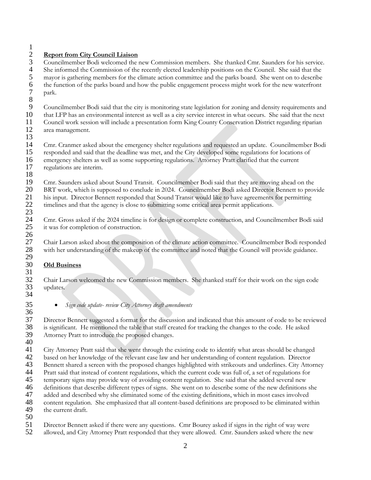$\frac{1}{2}$ 

# 2 **Report from City Council Liaison**

3 Councilmember Bodi welcomed the new Commission members. She thanked Cmr. Saunders for his service.<br>4 She informed the Commission of the recently elected leadership positions on the Council. She said that the 4 She informed the Commission of the recently elected leadership positions on the Council. She said that the mayor is gathering members for the climate action committee and the parks board. She went on to describe 5 mayor is gathering members for the climate action committee and the parks board. She went on to describe<br>6 the function of the parks board and how the public engagement process might work for the new waterfront 6 the function of the parks board and how the public engagement process might work for the new waterfront park.

8<br>9

9 Councilmember Bodi said that the city is monitoring state legislation for zoning and density requirements and that LFP has an environmental interest as well as a city service interest in what occurs. She said that the next

11 Council work session will include a presentation form King County Conservation District regarding riparian

area management. 13

14 Cmr. Cranmer asked about the emergency shelter regulations and requested an update. Councilmember Bodi 15 responded and said that the deadline was met, and the City developed some regulations for locations of<br>16 emergency shelters as well as some supporting regulations. Attorney Pratt clarified that the current 16 emergency shelters as well as some supporting regulations. Attorney Pratt clarified that the current regulations are interim.

regulations are interim.

18<br>19 19 Cmr. Saunders asked about Sound Transit. Councilmember Bodi said that they are moving ahead on the 20<br>20 BRT work, which is supposed to conclude in 2024. Councilmember Bodi asked Director Bennett to prov 20 BRT work, which is supposed to conclude in 2024. Councilmember Bodi asked Director Bennett to provide 21 his input. Director Bennett responded that Sound Transit would like to have agreements for permitting<br>22 timelines and that the agency is close to submitting some critical area permit applications. timelines and that the agency is close to submitting some critical area permit applications.

24 Cmr. Gross asked if the 2024 timeline is for design or complete construction, and Councilmember Bodi said<br>25 it was for completion of construction. it was for completion of construction. 26

27 Chair Larson asked about the composition of the climate action committee. Councilmember Bodi responded<br>28 with her understanding of the makeup of the committee and noted that the Council will provide guidance. with her understanding of the makeup of the committee and noted that the Council will provide guidance.

### 30 **Old Business** 31

32 Chair Larson welcomed the new Commission members. She thanked staff for their work on the sign code updates.

34

23

29

# 35 • *Sign code update- review City Attorney draft amendments*

36<br>37 37 Director Bennett suggested a format for the discussion and indicated that this amount of code to be reviewed 38 is significant. He mentioned the table that staff created for tracking the changes to the code. He asked<br>39 Attorney Pratt to introduce the proposed changes. Attorney Pratt to introduce the proposed changes.

40

41 City Attorney Pratt said that she went through the existing code to identify what areas should be changed 42 based on her knowledge of the relevant case law and her understanding of content regulation. Director 43 Bennett shared a screen with the proposed changes highlighted with strikeouts and underlines. City Atto

43 Bennett shared a screen with the proposed changes highlighted with strikeouts and underlines. City Attorney

44 Pratt said that instead of content regulations, which the current code was full of, a set of regulations for<br>45 temporary signs may provide way of avoiding content regulation. She said that she added several new

temporary signs may provide way of avoiding content regulation. She said that she added several new

46 definitions that describe different types of signs. She went on to describe some of the new definitions she<br>47 added and described why she eliminated some of the existing definitions, which in most cases involved

added and described why she eliminated some of the existing definitions, which in most cases involved

48 content regulation. She emphasized that all content-based definitions are proposed to be eliminated within <br>49 the current draft. the current draft.

- 50
- 51 Director Bennett asked if there were any questions. Cmr Bourey asked if signs in the right of way were
- 52 allowed, and City Attorney Pratt responded that they were allowed. Cmr. Saunders asked where the new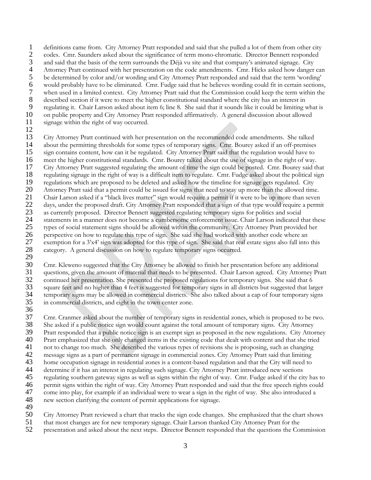1 definitions came from. City Attorney Pratt responded and said that she pulled a lot of them from other city<br>2 codes. Cmr. Saunders asked about the significance of term mono-chromatic. Director Bennett responded 2 codes. Cmr. Saunders asked about the significance of term mono-chromatic. Director Bennett responded<br>3 and said that the basis of the term surrounds the Déjà vu site and that company's animated signage. City 3 and said that the basis of the term surrounds the Déjà vu site and that company's animated signage. City<br>4 Attorney Pratt continued with her presentation on the code amendments. Cmr. Hicks asked how danger

4 Attorney Pratt continued with her presentation on the code amendments. Cmr. Hicks asked how danger can<br>5 be determined by color and/or wording and City Attorney Pratt responded and said that the term 'wording'

5 be determined by color and/or wording and City Attorney Pratt responded and said that the term 'wording'<br>6 would probably have to be eliminated. Cmr. Fudge said that he believes wording could fit in certain sections

6 would probably have to be eliminated. Cmr. Fudge said that he believes wording could fit in certain sections, 7 when used in a limited context. City Attorney Pratt said that the Commission could keep the term within the described section if it were to meet the higher constitutional standard where the city has an interest in

- 8 described section if it were to meet the higher constitutional standard where the city has an interest in<br>9 regulating it. Chair Larson asked about item 6; line 8. She said that it sounds like it could be limiting y
- 9 regulating it. Chair Larson asked about item 6; line 8. She said that it sounds like it could be limiting what is<br>10 on public property and City Attorney Pratt responded affirmatively. A general discussion about allowed
- 10 on public property and City Attorney Pratt responded affirmatively. A general discussion about allowed 11 signage within the right of way occurred.
- 

 $\frac{12}{13}$ 13 City Attorney Pratt continued with her presentation on the recommended code amendments. She talked about the permitting thresholds for some types of temporary signs. Cmr. Bourey asked if an off-premises 15 sign contains content, how can it be regulated. City Attorney Pratt said that the regulation would have to<br>16 meet the higher constitutional standards. Cmr. Bourey talked about the use of signage in the right of way. 16 meet the higher constitutional standards. Cmr. Bourey talked about the use of signage in the right of way.<br>17 City Attorney Pratt suggested regulating the amount of time the sign could be posted. Cmr. Bourey said th 17 City Attorney Pratt suggested regulating the amount of time the sign could be posted. Cmr. Bourey said that 18 regulating signage in the right of way is a difficult item to regulate. Cmr. Fudge asked about the political sign<br>19 regulations which are proposed to be deleted and asked how the timeline for signage gets regulated. Ci 19 regulations which are proposed to be deleted and asked how the timeline for signage gets regulated. City<br>20 Attorney Pratt said that a permit could be issued for signs that need to stay up more than the allowed time 20 Attorney Pratt said that a permit could be issued for signs that need to stay up more than the allowed time.<br>21 Chair Larson asked if a "black lives matter" sign would require a permit if it were to be up more than seve 21 Chair Larson asked if a "black lives matter" sign would require a permit if it were to be up more than seven<br>22 days, under the proposed draft. City Attorney Pratt responded that a sign of that type would require a perm 22 days, under the proposed draft. City Attorney Pratt responded that a sign of that type would require a permit 23 as currently proposed. Director Bennett suggested regulating temporary signs for politics and social<br>24 statements in a manner does not become a cumbersome enforcement issue. Chair Larson indicated t 24 statements in a manner does not become a cumbersome enforcement issue. Chair Larson indicated that these<br>25 types of social statement signs should be allowed within the community. City Attorney Pratt provided her 25 types of social statement signs should be allowed within the community. City Attorney Pratt provided her perspective on how to regulate this type of sign. She said she had worked with another code where an 26 perspective on how to regulate this type of sign. She said she had worked with another code where an 27 exemption for a 3'x4' sign was adopted for this type of sign. She said that real estate signs also fall into this<br>28 category. A general discussion on how to regulate temporary signs occurred. category. A general discussion on how to regulate temporary signs occurred. 29

30 Cmr. Kleweno suggested that the City Attorney be allowed to finish her presentation before any additional 31 questions, given the amount of material that needs to be presented. Chair Larson agreed. City Attorney Pratt continued her presentation. She presented the proposed regulations for temporary signs. She said that 6 32 continued her presentation. She presented the proposed regulations for temporary signs. She said that 6 square feet and no higher than 4 feet is suggested for temporary signs in all districts but suggested that lai 33 square feet and no higher than 4 feet is suggested for temporary signs in all districts but suggested that larger temporary signs may be allowed in commercial districts. She also talked about a cap of four temporary signs 35 in commercial districts, and eight in the town center zone.

36<br>37

37 Cmr. Cranmer asked about the number of temporary signs in residential zones, which is proposed to be two.<br>38 She asked if a public notice sign would count against the total amount of temporary signs. City Attorney She asked if a public notice sign would count against the total amount of temporary signs. City Attorney 39 Pratt responded that a public notice sign is an exempt sign as proposed in the new regulations. City Attorney<br>40 Pratt emphasized that she only changed items in the existing code that dealt with content and that she tri Pratt emphasized that she only changed items in the existing code that dealt with content and that she tried 41 not to change too much. She described the various types of revisions she is proposing, such as changing<br>42 message signs as a part of permanent signage in commercial zones. City Attorney Pratt said that limiting 42 message signs as a part of permanent signage in commercial zones. City Attorney Pratt said that limiting 43 home occupation signage in residential zones is a content-based regulation and that the City will need to<br>44 determine if it has an interest in regulating such signage. City Attorney Pratt introduced new sections 44 determine if it has an interest in regulating such signage. City Attorney Pratt introduced new sections<br>45 regulating southern gateway signs as well as signs within the right of way. Cmr. Fudge asked if the cit 45 regulating southern gateway signs as well as signs within the right of way. Cmr. Fudge asked if the city has to<br>46 permit signs within the right of way. City Attorney Pratt responded and said that the free speech rights 46 permit signs within the right of way. City Attorney Pratt responded and said that the free speech rights could 47 come into play, for example if an individual were to wear a sign in the right of way. She also introduced a<br>48 new section clarifying the content of permit applications for signage. new section clarifying the content of permit applications for signage.

49

50 City Attorney Pratt reviewed a chart that tracks the sign code changes. She emphasized that the chart shows

51 that most changes are for new temporary signage. Chair Larson thanked City Attorney Pratt for the<br>52 presentation and asked about the next steps. Director Bennett responded that the questions the Co 52 presentation and asked about the next steps. Director Bennett responded that the questions the Commission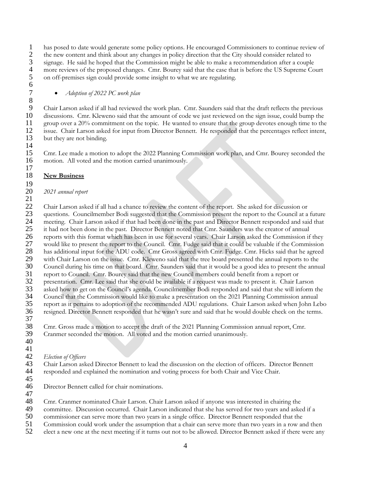1 has posed to date would generate some policy options. He encouraged Commissioners to continue review of the new content and think about any changes in policy direction that the City should consider related to 2 the new content and think about any changes in policy direction that the City should consider related to signage. He said he hoped that the Commission might be able to make a recommendation after a couple 3 signage. He said he hoped that the Commission might be able to make a recommendation after a couple<br>4 more reviews of the proposed changes. Cmr. Bourey said that the case that is before the US Supreme Co 4 more reviews of the proposed changes. Cmr. Bourey said that the case that is before the US Supreme Court on off-premises sign could provide some insight to what we are regulating. 5 on off-premises sign could provide some insight to what we are regulating. 6

7 • *Adoption of 2022 PC work plan*

8 9 Chair Larson asked if all had reviewed the work plan. Cmr. Saunders said that the draft reflects the previous 10 discussions. Cmr. Kleweno said that the amount of code we just reviewed on the sign issue, could bump the discussions. Cmr. Kleweno said that the amount of code we just reviewed on the sign issue, could bump the 11 group over a 20% commitment on the topic. He wanted to ensure that the group devotes enough time to the<br>12 issue. Chair Larson asked for input from Director Bennett. He responded that the percentages reflect intent, issue. Chair Larson asked for input from Director Bennett. He responded that the percentages reflect intent, 13 but they are not binding. 14

15 Cmr. Lee made a motion to adopt the 2022 Planning Commission work plan, and Cmr. Bourey seconded the motion. All voted and the motion carried unanimously. motion. All voted and the motion carried unanimously.

### 18 **New Business**

17

 $\frac{19}{20}$ 20 *2021 annual report*

21 22 Chair Larson asked if all had a chance to review the content of the report. She asked for discussion or questions. Councilmember Bodi suggested that the Commission present the report to the Council at a 23 questions. Councilmember Bodi suggested that the Commission present the report to the Council at a future<br>24 meeting. Chair Larson asked if that had been done in the past and Director Bennett responded and said that 24 meeting. Chair Larson asked if that had been done in the past and Director Bennett responded and said that 25 it had not been done in the past. Director Bennett noted that Cmr. Saunders was the creator of annual<br>26 reports with this format which has been in use for several years. Chair Larson asked the Commission if 26 reports with this format which has been in use for several years. Chair Larson asked the Commission if they 27 would like to present the report to the Council. Cmr. Fudge said that it could be valuable if the Commission<br>28 has additional input for the ADU code. Cmr Gross agreed with Cmr. Fudge. Cmr. Hicks said that he agreed 28 has additional input for the ADU code. Cmr Gross agreed with Cmr. Fudge. Cmr. Hicks said that he agreed<br>29 with Chair Larson on the issue. Cmr. Kleweno said that the tree board presented the annual reports to the 29 with Chair Larson on the issue. Cmr. Kleweno said that the tree board presented the annual reports to the<br>30 Council during his time on that board. Cmr. Saunders said that it would be a good idea to present the annu 30 Council during his time on that board. Cmr. Saunders said that it would be a good idea to present the annual report to Council. Cmr. Bourey said that the new Council members could benefit from a report or 31 report to Council. Cmr. Bourey said that the new Council members could benefit from a report or<br>32 resentation. Cmr. Lee said that she could be available if a request was made to present it. Chair L 32 presentation. Cmr. Lee said that she could be available if a request was made to present it. Chair Larson 33 asked how to get on the Council's agenda. Councilmember Bodi responded and said that she will inform the<br>34 Council that the Commission would like to make a presentation on the 2021 Planning Commission annual 34 Council that the Commission would like to make a presentation on the 2021 Planning Commission annual 35 report as it pertains to adoption of the recommended ADU regulations. Chair Larson asked when John Lebo<br>36 resigned. Director Bennett responded that he wasn't sure and said that he would double check on the terms. resigned. Director Bennett responded that he wasn't sure and said that he would double check on the terms.

- 38 Cmr. Gross made a motion to accept the draft of the 2021 Planning Commission annual report, Cmr.<br>39 Cranmer seconded the motion. All voted and the motion carried unanimously. Cranmer seconded the motion. All voted and the motion carried unanimously.
- 40 41

47

37

42 *Election of Officers* 43 Chair Larson asked Director Bennett to lead the discussion on the election of officers. Director Bennett<br>44 responded and explained the nomination and voting process for both Chair and Vice Chair. responded and explained the nomination and voting process for both Chair and Vice Chair.

- 45 46 Director Bennett called for chair nominations.
- 48 Cmr. Cranmer nominated Chair Larson. Chair Larson asked if anyone was interested in chairing the
- 49 committee. Discussion occurred. Chair Larson indicated that she has served for two years and asked if a<br>50 commissioner can serve more than two years in a single office. Director Bennett responded that the
- 50 commissioner can serve more than two years in a single office. Director Bennett responded that the
- 51 Commission could work under the assumption that a chair can serve more than two years in a row and then<br>52 elect a new one at the next meeting if it turns out not to be allowed. Director Bennett asked if there were any
- elect a new one at the next meeting if it turns out not to be allowed. Director Bennett asked if there were any